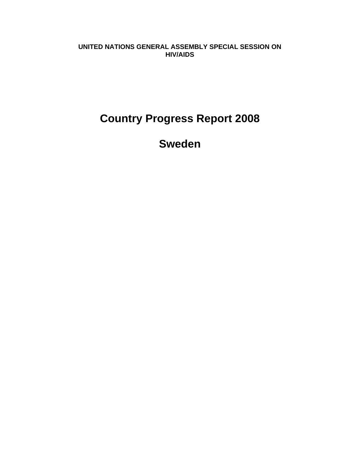**UNITED NATIONS GENERAL ASSEMBLY SPECIAL SESSION ON HIV/AIDS** 

# **Country Progress Report 2008**

**Sweden**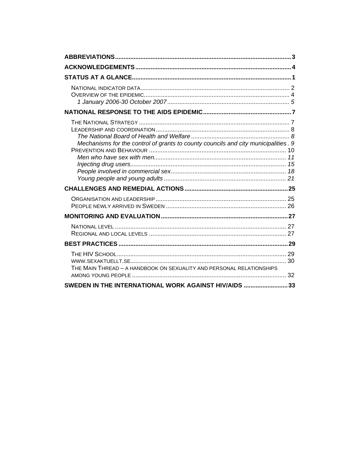| Mechanisms for the control of grants to county councils and city municipalities. 9 |
|------------------------------------------------------------------------------------|
|                                                                                    |
|                                                                                    |
|                                                                                    |
|                                                                                    |
|                                                                                    |
| THE MAIN THREAD - A HANDBOOK ON SEXUALITY AND PERSONAL RELATIONSHIPS               |
| SWEDEN IN THE INTERNATIONAL WORK AGAINST HIV/AIDS 33                               |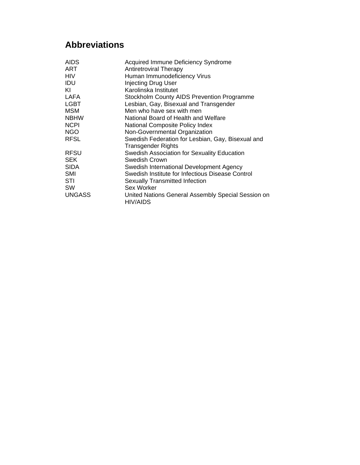# **Abbreviations**

| <b>AIDS</b>   | <b>Acquired Immune Deficiency Syndrome</b>                            |
|---------------|-----------------------------------------------------------------------|
| <b>ART</b>    | <b>Antiretroviral Therapy</b>                                         |
| <b>HIV</b>    | Human Immunodeficiency Virus                                          |
| IDU           | <b>Injecting Drug User</b>                                            |
| KI            | Karolinska Institutet                                                 |
| <b>LAFA</b>   | <b>Stockholm County AIDS Prevention Programme</b>                     |
| <b>LGBT</b>   | Lesbian, Gay, Bisexual and Transgender                                |
| <b>MSM</b>    | Men who have sex with men                                             |
| <b>NBHW</b>   | National Board of Health and Welfare                                  |
| <b>NCPI</b>   | National Composite Policy Index                                       |
| <b>NGO</b>    | Non-Governmental Organization                                         |
| <b>RFSL</b>   | Swedish Federation for Lesbian, Gay, Bisexual and                     |
|               | <b>Transgender Rights</b>                                             |
| <b>RFSU</b>   | Swedish Association for Sexuality Education                           |
| <b>SEK</b>    | Swedish Crown                                                         |
| <b>SIDA</b>   | Swedish International Development Agency                              |
| <b>SMI</b>    | Swedish Institute for Infectious Disease Control                      |
| STI           | <b>Sexually Transmitted Infection</b>                                 |
| <b>SW</b>     | Sex Worker                                                            |
| <b>UNGASS</b> | United Nations General Assembly Special Session on<br><b>HIV/AIDS</b> |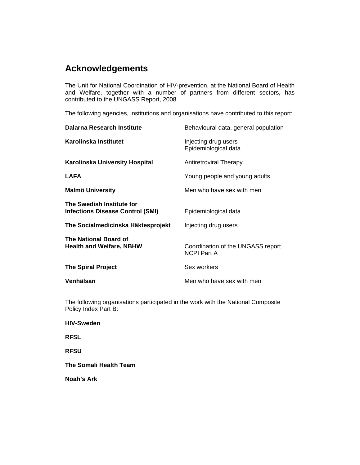# **Acknowledgements**

The Unit for National Coordination of HIV-prevention, at the National Board of Health and Welfare, together with a number of partners from different sectors, has contributed to the UNGASS Report, 2008.

The following agencies, institutions and organisations have contributed to this report:

| <b>Dalarna Research Institute</b>                                    | Behavioural data, general population                    |
|----------------------------------------------------------------------|---------------------------------------------------------|
| Karolinska Institutet                                                | Injecting drug users<br>Epidemiological data            |
| Karolinska University Hospital                                       | <b>Antiretroviral Therapy</b>                           |
| <b>LAFA</b>                                                          | Young people and young adults                           |
| <b>Malmö University</b>                                              | Men who have sex with men                               |
| The Swedish Institute for<br><b>Infections Disease Control (SMI)</b> | Epidemiological data                                    |
| The Socialmedicinska Häktesprojekt                                   | Injecting drug users                                    |
| The National Board of<br><b>Health and Welfare, NBHW</b>             | Coordination of the UNGASS report<br><b>NCPI Part A</b> |
| <b>The Spiral Project</b>                                            | Sex workers                                             |
| Venhälsan                                                            | Men who have sex with men                               |

The following organisations participated in the work with the National Composite Policy Index Part B:

**HIV-Sweden** 

**RFSL** 

**RFSU** 

**The Somali Health Team** 

**Noah's Ark**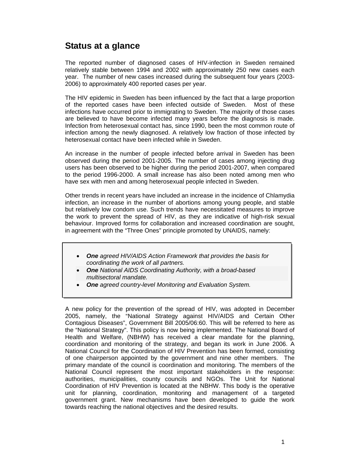# **Status at a glance**

The reported number of diagnosed cases of HIV-infection in Sweden remained relatively stable between 1994 and 2002 with approximately 250 new cases each year. The number of new cases increased during the subsequent four years (2003- 2006) to approximately 400 reported cases per year.

The HIV epidemic in Sweden has been influenced by the fact that a large proportion of the reported cases have been infected outside of Sweden. Most of these infections have occurred prior to immigrating to Sweden. The majority of those cases are believed to have become infected many years before the diagnosis is made. Infection from heterosexual contact has, since 1990, been the most common route of infection among the newly diagnosed. A relatively low fraction of those infected by heterosexual contact have been infected while in Sweden.

An increase in the number of people infected before arrival in Sweden has been observed during the period 2001-2005. The number of cases among injecting drug users has been observed to be higher during the period 2001-2007, when compared to the period 1996-2000. A small increase has also been noted among men who have sex with men and among heterosexual people infected in Sweden.

Other trends in recent years have included an increase in the incidence of Chlamydia infection, an increase in the number of abortions among young people, and stable but relatively low condom use. Such trends have necessitated measures to improve the work to prevent the spread of HIV, as they are indicative of high-risk sexual behaviour. Improved forms for collaboration and increased coordination are sought, in agreement with the "Three Ones" principle promoted by UNAIDS, namely:

- *One agreed HIV/AIDS Action Framework that provides the basis for coordinating the work of all partners.*
- *One National AIDS Coordinating Authority, with a broad-based multisectoral mandate.*
- *One agreed country-level Monitoring and Evaluation System.*

A new policy for the prevention of the spread of HIV, was adopted in December 2005, namely, the "National Strategy against HIV/AIDS and Certain Other Contagious Diseases", Government Bill 2005/06:60. This will be referred to here as the "National Strategy". This policy is now being implemented. The National Board of Health and Welfare, (NBHW) has received a clear mandate for the planning, coordination and monitoring of the strategy, and began its work in June 2006. A National Council for the Coordination of HIV Prevention has been formed, consisting of one chairperson appointed by the government and nine other members. The primary mandate of the council is coordination and monitoring. The members of the National Council represent the most important stakeholders in the response: authorities, municipalities, county councils and NGOs. The Unit for National Coordination of HIV Prevention is located at the NBHW. This body is the operative unit for planning, coordination, monitoring and management of a targeted government grant. New mechanisms have been developed to guide the work towards reaching the national objectives and the desired results.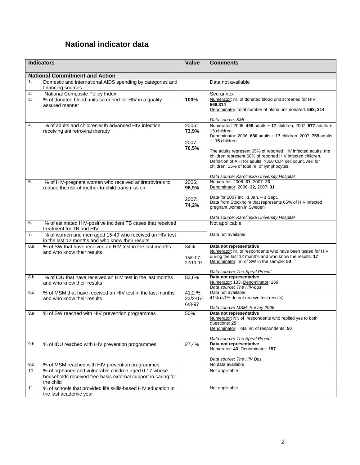# **National indicator data**

| <b>Indicators</b> |                                                                                                                                     | Value                            | <b>Comments</b>                                                                                                                                                                                                                                                                              |
|-------------------|-------------------------------------------------------------------------------------------------------------------------------------|----------------------------------|----------------------------------------------------------------------------------------------------------------------------------------------------------------------------------------------------------------------------------------------------------------------------------------------|
|                   | <b>National Commitment and Action</b>                                                                                               |                                  |                                                                                                                                                                                                                                                                                              |
| 1.                | Domestic and international AIDS spending by categories and                                                                          |                                  | Data not available                                                                                                                                                                                                                                                                           |
|                   | financing sources                                                                                                                   |                                  |                                                                                                                                                                                                                                                                                              |
| 2.                | National Composite Policy Index                                                                                                     |                                  | See annex                                                                                                                                                                                                                                                                                    |
| 3.                | % of donated blood units screened for HIV in a quality<br>assured manner                                                            | 100%                             | Numerator: nr. of donated blood unit screened for HIV:<br>568,314<br>Denominator: total number of blood unit donated: 568, 314                                                                                                                                                               |
|                   |                                                                                                                                     |                                  | Data source: SMI                                                                                                                                                                                                                                                                             |
| 4.                | % of adults and children with advanced HIV infection<br>receiving antiretroviral therapy                                            | 2006:<br>73,9%<br>2007:<br>76,5% | Numerator: 2006: 498 adults + 17 children, 2007: 577 adults +<br>15 children<br>Denominator: 2006: 680 adults + 17 children, 2007: 759 adults<br>+ 15 children<br>The adults represent 65% of reported HIV infected adults; the<br>children represent 60% of reported HIV infected children. |
|                   |                                                                                                                                     |                                  | Definition of AHI for adults: >350 CD4 cell count, AHI for<br>children: 15% of total nr. of lymphocytes.                                                                                                                                                                                     |
|                   |                                                                                                                                     |                                  | Data source: Karolinska University Hospital<br>Numerator: 2006: 31, 2007: 23                                                                                                                                                                                                                 |
| 5.                | % of HIV-pregnant women who received antiretrovirals to<br>reduce the risk of mother-to-child transmission                          | 2006:<br>96,9%                   | Denominator: 2006: 32, 2007: 31                                                                                                                                                                                                                                                              |
|                   |                                                                                                                                     | 2007:                            | Data for 2007 incl. 1 Jan. - 1 Sept.                                                                                                                                                                                                                                                         |
|                   |                                                                                                                                     | 74,2%                            | Data from Stockholm that represents 65% of HIV infected<br>pregnant women in Sweden                                                                                                                                                                                                          |
|                   |                                                                                                                                     |                                  | Data source: Karolinska University Hospital                                                                                                                                                                                                                                                  |
| 6.                | % of estimated HIV-positive incident TB cases that received<br>treatment for TB and HIV                                             |                                  | Not applicable                                                                                                                                                                                                                                                                               |
| 7.                | % of women and men aged 15-49 who received an HIV test<br>in the last 12 months and who know their results                          |                                  | Data not available                                                                                                                                                                                                                                                                           |
| 8.a               | % of SW that have received an HIV test in the last months                                                                           | 34%                              | Data not representative<br>Numerator: nr. of respondents who have been tested for HIV                                                                                                                                                                                                        |
|                   | and who know their results                                                                                                          | $15/9-07-$                       | during the last 12 months and who know the results: 17                                                                                                                                                                                                                                       |
|                   |                                                                                                                                     | 22/10-07                         | Denominator: nr. of SW in the sample: 50                                                                                                                                                                                                                                                     |
| 8.b               | % of IDU that have received an HIV test in the last months                                                                          | 83,6%                            | Data source: The Spiral Project<br>Data not representative                                                                                                                                                                                                                                   |
|                   | and who know their results                                                                                                          |                                  | Numerator: 133, Denominator: 159                                                                                                                                                                                                                                                             |
| 8.c               | % of MSM that have received an HIV test in the last months                                                                          | 41,2%                            | Data source: The HIV-bus<br>Data not available                                                                                                                                                                                                                                               |
|                   | and who know their results                                                                                                          | 23/2-07-<br>$6/3 - 97$           | 41% (<1% do not receive test results)                                                                                                                                                                                                                                                        |
|                   |                                                                                                                                     |                                  | Data source: MSM- Survey 2006                                                                                                                                                                                                                                                                |
| 9.a               | % of SW reached with HIV prevention programmes                                                                                      | 50%                              | Data not representative<br>Numerator: Nr. of respondents who replied yes to both<br>questions: 25<br>Denominator: Total nr. of respondents: 50                                                                                                                                               |
|                   |                                                                                                                                     |                                  | Data source: The Spiral Project                                                                                                                                                                                                                                                              |
| 9.b               | % of IDU reached with HIV prevention programmes                                                                                     | 27,4%                            | Data not representative<br>Numerator: 43, Denominator: 157                                                                                                                                                                                                                                   |
|                   |                                                                                                                                     |                                  | Data source: The HIV Bus                                                                                                                                                                                                                                                                     |
| 9.c               | % of MSM reached with HIV prevention programmes                                                                                     |                                  | No data available                                                                                                                                                                                                                                                                            |
| 10.               | % of orphaned and vulnerable children aged 0-17 whose<br>households received free basic external support in caring for<br>the child |                                  | Not applicable                                                                                                                                                                                                                                                                               |
| 11.               | % of schools that provided life skills-based HIV education in<br>the last academic year                                             |                                  | Not applicable                                                                                                                                                                                                                                                                               |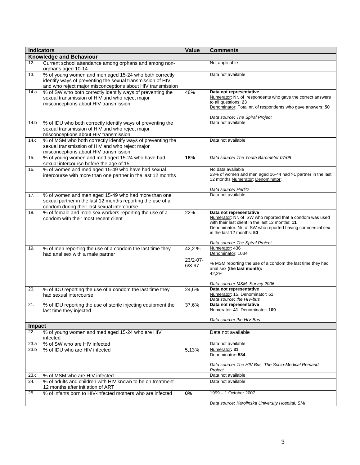|        | <b>Indicators</b>                                                                                                        | <b>Value</b> | <b>Comments</b>                                                                     |
|--------|--------------------------------------------------------------------------------------------------------------------------|--------------|-------------------------------------------------------------------------------------|
|        | <b>Knowledge and Behaviour</b>                                                                                           |              |                                                                                     |
| 12.    | Current school attendance among orphans and among non-                                                                   |              | Not applicable                                                                      |
|        | orphans aged 10-14                                                                                                       |              |                                                                                     |
| 13.    | % of young women and men aged 15-24 who both correctly                                                                   |              | Data not available                                                                  |
|        | identify ways of preventing the sexual transmission of HIV<br>and who reject major misconceptions about HIV transmission |              |                                                                                     |
| 14.a   | % of SW who both correctly identify ways of preventing the                                                               | 46%          | Data not representative                                                             |
|        | sexual transmission of HIV and who reject major                                                                          |              | Numerator: Nr. of respondents who gave the correct answers                          |
|        | misconceptions about HIV transmission                                                                                    |              | to all questions: 23                                                                |
|        |                                                                                                                          |              | Denominator: Total nr. of respondents who gave answers: 50                          |
|        |                                                                                                                          |              | Data source: The Spiral Project                                                     |
| 14.b   | % of IDU who both correctly identify ways of preventing the                                                              |              | Data not available                                                                  |
|        | sexual transmission of HIV and who reject major                                                                          |              |                                                                                     |
|        | misconceptions about HIV transmission                                                                                    |              |                                                                                     |
| 14.c   | % of MSM who both correctly identify ways of preventing the                                                              |              | Data not available                                                                  |
|        | sexual transmission of HIV and who reject major                                                                          |              |                                                                                     |
| 15.    | misconceptions about HIV transmission<br>% of young women and med aged 15-24 who have had                                | 18%          | Data source: The Youth Barometer 07/08                                              |
|        | sexual intercourse before the age of 15                                                                                  |              |                                                                                     |
| 16.    | % of women and med aged 15-49 who have had sexual                                                                        |              | No data available                                                                   |
|        | intercourse with more than one partner in the last 12 months                                                             |              | 23% of women and men aged 16-44 had >1 partner in the last                          |
|        |                                                                                                                          |              | 12 months Numerator: Denominator:                                                   |
|        |                                                                                                                          |              | Data source: Herlitz                                                                |
| 17.    | % of women and men aged 15-49 who had more than one                                                                      |              | Data not available                                                                  |
|        | sexual partner in the last 12 months reporting the use of a                                                              |              |                                                                                     |
|        | condom during their last sexual intercourse                                                                              |              |                                                                                     |
| 18.    | % of female and male sex workers reporting the use of a                                                                  | 22%          | Data not representative<br>Numerator: Nr. of SW who reported that a condom was used |
|        | condom with their most recent client                                                                                     |              | with their last client in the last 12 months: 11                                    |
|        |                                                                                                                          |              | Denominator: Nr. of SW who reported having commercial sex                           |
|        |                                                                                                                          |              | in the last 12 months: 50                                                           |
|        |                                                                                                                          |              | Data source: The Spiral Project                                                     |
| 19.    | % of men reporting the use of a condom the last time they                                                                | 42,2%        | Numerator: 436                                                                      |
|        | had anal sex with a male partner                                                                                         |              | Denominator: 1034                                                                   |
|        |                                                                                                                          | 23/2-07-     | % MSM reporting the use of a condom the last time they had                          |
|        |                                                                                                                          | $6/3 - 97$   | anal sex (the last month):                                                          |
|        |                                                                                                                          |              | 42,2%                                                                               |
|        |                                                                                                                          |              | Data source: MSM- Survey 2006                                                       |
| 20.    | % of IDU reporting the use of a condom the last time they                                                                | 24,6%        | Data not representative                                                             |
|        | had sexual intercourse                                                                                                   |              | Numerator: 15, Denominator: 61                                                      |
|        |                                                                                                                          |              | Data source: the HIV-bus                                                            |
| 21.    | % of IDU reporting the use of sterile injecting equipment the                                                            | 37,6%        | Data not representative<br>Numerator: 41, Denominator: 109                          |
|        | last time they injected                                                                                                  |              |                                                                                     |
|        |                                                                                                                          |              | Data source: the HIV Bus                                                            |
| Impact |                                                                                                                          |              |                                                                                     |
| 22.    | % of young women and med aged 15-24 who are HIV                                                                          |              | Data not available                                                                  |
| 23.a   | infected<br>% of SW who are HIV infected                                                                                 |              | Data not available                                                                  |
| 23.b   | % of IDU who are HIV infected                                                                                            | 5.13%        | Numerator: 31                                                                       |
|        |                                                                                                                          |              | Denominator: 534                                                                    |
|        |                                                                                                                          |              |                                                                                     |
|        |                                                                                                                          |              | Data source: The HIV Bus, The Socio-Medical Remand<br>Project                       |
| 23.c   | % of MSM who are HIV infected                                                                                            |              | Data not available                                                                  |
| 24.    | % of adults and children with HIV known to be on treatment                                                               |              | Data not available                                                                  |
|        | 12 months after initiation of ART                                                                                        |              |                                                                                     |
| 25.    | % of infants born to HIV-infected mothers who are infected                                                               | 0%           | 1999 - 1 October 2007                                                               |
|        |                                                                                                                          |              | Data source: Karolinska University Hospital, SMI                                    |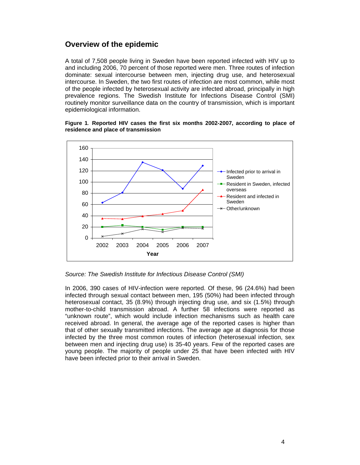## **Overview of the epidemic**

A total of 7,508 people living in Sweden have been reported infected with HIV up to and including 2006, 70 percent of those reported were men. Three routes of infection dominate: sexual intercourse between men, injecting drug use, and heterosexual intercourse. In Sweden, the two first routes of infection are most common, while most of the people infected by heterosexual activity are infected abroad, principally in high prevalence regions. The Swedish Institute for Infections Disease Control (SMI) routinely monitor surveillance data on the country of transmission, which is important epidemiological information.



#### **Figure 1***.* **Reported HIV cases the first six months 2002-2007, according to place of residence and place of transmission**

*Source: The Swedish Institute for Infectious Disease Control (SMI)* 

In 2006, 390 cases of HIV-infection were reported. Of these, 96 (24.6%) had been infected through sexual contact between men, 195 (50%) had been infected through heterosexual contact, 35 (8.9%) through injecting drug use, and six (1.5%) through mother-to-child transmission abroad. A further 58 infections were reported as "unknown route", which would include infection mechanisms such as health care received abroad. In general, the average age of the reported cases is higher than that of other sexually transmitted infections. The average age at diagnosis for those infected by the three most common routes of infection (heterosexual infection, sex between men and injecting drug use) is 35-40 years. Few of the reported cases are young people. The majority of people under 25 that have been infected with HIV have been infected prior to their arrival in Sweden.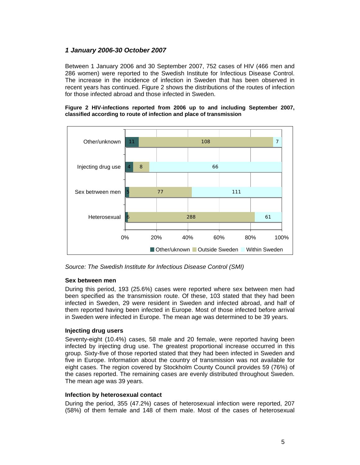### *1 January 2006-30 October 2007*

Between 1 January 2006 and 30 September 2007, 752 cases of HIV (466 men and 286 women) were reported to the Swedish Institute for Infectious Disease Control. The increase in the incidence of infection in Sweden that has been observed in recent years has continued. Figure 2 shows the distributions of the routes of infection for those infected abroad and those infected in Sweden.

**Figure 2 HIV-infections reported from 2006 up to and including September 2007, classified according to route of infection and place of transmission** 



*Source: The Swedish Institute for Infectious Disease Control (SMI)* 

#### **Sex between men**

During this period, 193 (25.6%) cases were reported where sex between men had been specified as the transmission route. Of these, 103 stated that they had been infected in Sweden, 29 were resident in Sweden and infected abroad, and half of them reported having been infected in Europe. Most of those infected before arrival in Sweden were infected in Europe. The mean age was determined to be 39 years.

#### **Injecting drug users**

Seventy-eight (10.4%) cases, 58 male and 20 female, were reported having been infected by injecting drug use. The greatest proportional increase occurred in this group. Sixty-five of those reported stated that they had been infected in Sweden and five in Europe. Information about the country of transmission was not available for eight cases. The region covered by Stockholm County Council provides 59 (76%) of the cases reported. The remaining cases are evenly distributed throughout Sweden. The mean age was 39 years.

#### **Infection by heterosexual contact**

During the period, 355 (47.2%) cases of heterosexual infection were reported, 207 (58%) of them female and 148 of them male. Most of the cases of heterosexual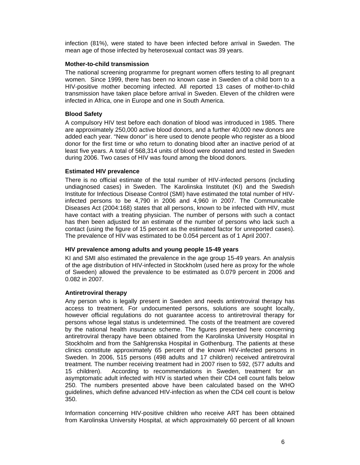infection (81%), were stated to have been infected before arrival in Sweden. The mean age of those infected by heterosexual contact was 39 years.

#### **Mother-to-child transmission**

The national screening programme for pregnant women offers testing to all pregnant women. Since 1999, there has been no known case in Sweden of a child born to a HIV-positive mother becoming infected. All reported 13 cases of mother-to-child transmission have taken place before arrival in Sweden. Eleven of the children were infected in Africa, one in Europe and one in South America.

#### **Blood Safety**

A compulsory HIV test before each donation of blood was introduced in 1985. There are approximately 250,000 active blood donors, and a further 40,000 new donors are added each year. "New donor" is here used to denote people who register as a blood donor for the first time or who return to donating blood after an inactive period of at least five years. A total of 568,314 units of blood were donated and tested in Sweden during 2006. Two cases of HIV was found among the blood donors.

#### **Estimated HIV prevalence**

There is no official estimate of the total number of HIV-infected persons (including undiagnosed cases) in Sweden. The Karolinska Institutet (KI) and the Swedish Institute for Infectious Disease Control (SMI) have estimated the total number of HIVinfected persons to be 4,790 in 2006 and 4,960 in 2007. The Communicable Diseases Act (2004:168) states that all persons, known to be infected with HIV, must have contact with a treating physician. The number of persons with such a contact has then been adjusted for an estimate of the number of persons who lack such a contact (using the figure of 15 percent as the estimated factor for unreported cases). The prevalence of HIV was estimated to be 0.054 percent as of 1 April 2007.

#### **HIV prevalence among adults and young people 15-49 years**

KI and SMI also estimated the prevalence in the age group 15-49 years. An analysis of the age distribution of HIV-infected in Stockholm (used here as proxy for the whole of Sweden) allowed the prevalence to be estimated as 0.079 percent in 2006 and 0.082 in 2007.

#### **Antiretroviral therapy**

Any person who is legally present in Sweden and needs antiretroviral therapy has access to treatment. For undocumented persons, solutions are sought locally, however official regulations do not guarantee access to antiretroviral therapy for persons whose legal status is undetermined. The costs of the treatment are covered by the national health insurance scheme. The figures presented here concerning antiretroviral therapy have been obtained from the Karolinska University Hospital in Stockholm and from the Sahlgrenska Hospital in Gothenburg. The patients at these clinics constitute approximately 65 percent of the known HIV-infected persons in Sweden. In 2006, 515 persons (498 adults and 17 children) received antiretroviral treatment. The number receiving treatment had in 2007 risen to 592, (577 adults and 15 children). According to recommendations in Sweden, treatment for an asymptomatic adult infected with HIV is started when their CD4 cell count falls below 250. The numbers presented above have been calculated based on the WHO guidelines, which define advanced HIV-infection as when the CD4 cell count is below 350.

Information concerning HIV-positive children who receive ART has been obtained from Karolinska University Hospital, at which approximately 60 percent of all known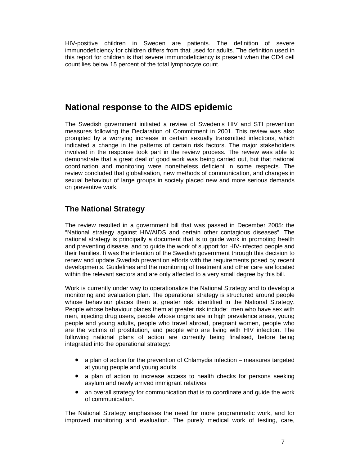HIV-positive children in Sweden are patients. The definition of severe immunodeficiency for children differs from that used for adults. The definition used in this report for children is that severe immunodeficiency is present when the CD4 cell count lies below 15 percent of the total lymphocyte count.

# **National response to the AIDS epidemic**

The Swedish government initiated a review of Sweden's HIV and STI prevention measures following the Declaration of Commitment in 2001. This review was also prompted by a worrying increase in certain sexually transmitted infections, which indicated a change in the patterns of certain risk factors. The major stakeholders involved in the response took part in the review process. The review was able to demonstrate that a great deal of good work was being carried out, but that national coordination and monitoring were nonetheless deficient in some respects. The review concluded that globalisation, new methods of communication, and changes in sexual behaviour of large groups in society placed new and more serious demands on preventive work.

# **The National Strategy**

The review resulted in a government bill that was passed in December 2005: the "National strategy against HIV/AIDS and certain other contagious diseases". The national strategy is principally a document that is to guide work in promoting health and preventing disease, and to guide the work of support for HIV-infected people and their families. It was the intention of the Swedish government through this decision to renew and update Swedish prevention efforts with the requirements posed by recent developments. Guidelines and the monitoring of treatment and other care are located within the relevant sectors and are only affected to a very small degree by this bill.

Work is currently under way to operationalize the National Strategy and to develop a monitoring and evaluation plan. The operational strategy is structured around people whose behaviour places them at greater risk, identified in the National Strategy. People whose behaviour places them at greater risk include: men who have sex with men, injecting drug users, people whose origins are in high prevalence areas, young people and young adults, people who travel abroad, pregnant women, people who are the victims of prostitution, and people who are living with HIV infection. The following national plans of action are currently being finalised, before being integrated into the operational strategy:

- a plan of action for the prevention of Chlamydia infection measures targeted at young people and young adults
- a plan of action to increase access to health checks for persons seeking asylum and newly arrived immigrant relatives
- an overall strategy for communication that is to coordinate and guide the work of communication.

The National Strategy emphasises the need for more programmatic work, and for improved monitoring and evaluation. The purely medical work of testing, care,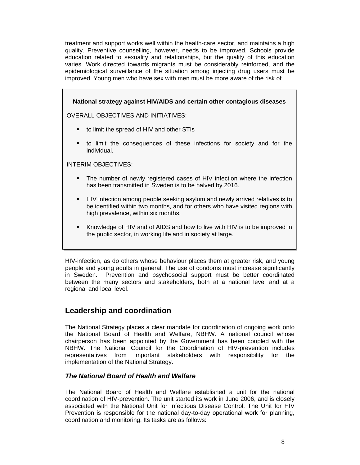treatment and support works well within the health-care sector, and maintains a high quality. Preventive counselling, however, needs to be improved. Schools provide education related to sexuality and relationships, but the quality of this education varies. Work directed towards migrants must be considerably reinforced, and the epidemiological surveillance of the situation among injecting drug users must be improved. Young men who have sex with men must be more aware of the risk of

|                | National strategy against HIV/AIDS and certain other contagious diseases                                                                                                                            |
|----------------|-----------------------------------------------------------------------------------------------------------------------------------------------------------------------------------------------------|
|                | <b>OVERALL OBJECTIVES AND INITIATIVES:</b>                                                                                                                                                          |
| ٠              | to limit the spread of HIV and other STIs                                                                                                                                                           |
| $\blacksquare$ | to limit the consequences of these infections for society and for the<br>individual.                                                                                                                |
|                | INTERIM OBJECTIVES:                                                                                                                                                                                 |
| $\blacksquare$ | The number of newly registered cases of HIV infection where the infection<br>has been transmitted in Sweden is to be halved by 2016.                                                                |
| $\blacksquare$ | HIV infection among people seeking asylum and newly arrived relatives is to<br>be identified within two months, and for others who have visited regions with<br>high prevalence, within six months. |
| ٠              | Knowledge of HIV and of AIDS and how to live with HIV is to be improved in<br>the public sector, in working life and in society at large.                                                           |

HIV-infection, as do others whose behaviour places them at greater risk, and young people and young adults in general. The use of condoms must increase significantly in Sweden. Prevention and psychosocial support must be better coordinated between the many sectors and stakeholders, both at a national level and at a regional and local level.

## **Leadership and coordination**

The National Strategy places a clear mandate for coordination of ongoing work onto the National Board of Health and Welfare, NBHW. A national council whose chairperson has been appointed by the Government has been coupled with the NBHW. The National Council for the Coordination of HIV-prevention includes representatives from important stakeholders with responsibility for the implementation of the National Strategy.

### *The National Board of Health and Welfare*

The National Board of Health and Welfare established a unit for the national coordination of HIV-prevention. The unit started its work in June 2006, and is closely associated with the National Unit for Infectious Disease Control. The Unit for HIV Prevention is responsible for the national day-to-day operational work for planning, coordination and monitoring. Its tasks are as follows: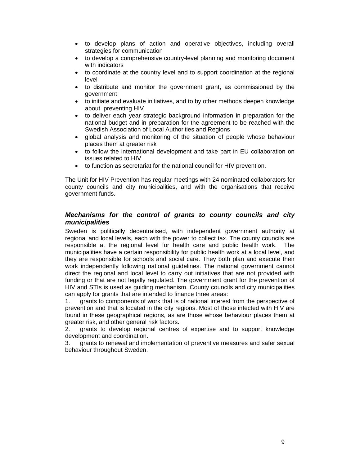- to develop plans of action and operative objectives, including overall strategies for communication
- to develop a comprehensive country-level planning and monitoring document with indicators
- to coordinate at the country level and to support coordination at the regional level
- to distribute and monitor the government grant, as commissioned by the government
- to initiate and evaluate initiatives, and to by other methods deepen knowledge about preventing HIV
- to deliver each year strategic background information in preparation for the national budget and in preparation for the agreement to be reached with the Swedish Association of Local Authorities and Regions
- global analysis and monitoring of the situation of people whose behaviour places them at greater risk
- to follow the international development and take part in EU collaboration on issues related to HIV
- to function as secretariat for the national council for HIV prevention.

The Unit for HIV Prevention has regular meetings with 24 nominated collaborators for county councils and city municipalities, and with the organisations that receive government funds.

#### *Mechanisms for the control of grants to county councils and city municipalities*

Sweden is politically decentralised, with independent government authority at regional and local levels, each with the power to collect tax. The county councils are responsible at the regional level for health care and public health work. The municipalities have a certain responsibility for public health work at a local level, and they are responsible for schools and social care. They both plan and execute their work independently following national guidelines. The national government cannot direct the regional and local level to carry out initiatives that are not provided with funding or that are not legally regulated. The government grant for the prevention of HIV and STIs is used as guiding mechanism. County councils and city municipalities can apply for grants that are intended to finance three areas:

1. grants to components of work that is of national interest from the perspective of prevention and that is located in the city regions. Most of those infected with HIV are found in these geographical regions, as are those whose behaviour places them at greater risk, and other general risk factors.

2. grants to develop regional centres of expertise and to support knowledge development and coordination.

3. grants to renewal and implementation of preventive measures and safer sexual behaviour throughout Sweden.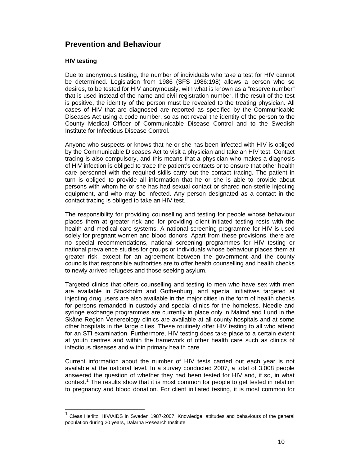# **Prevention and Behaviour**

#### **HIV testing**

 $\overline{a}$ 

Due to anonymous testing, the number of individuals who take a test for HIV cannot be determined. Legislation from 1986 (SFS 1986:198) allows a person who so desires, to be tested for HIV anonymously, with what is known as a "reserve number" that is used instead of the name and civil registration number. If the result of the test is positive, the identity of the person must be revealed to the treating physician. All cases of HIV that are diagnosed are reported as specified by the Communicable Diseases Act using a code number, so as not reveal the identity of the person to the County Medical Officer of Communicable Disease Control and to the Swedish Institute for Infectious Disease Control.

Anyone who suspects or knows that he or she has been infected with HIV is obliged by the Communicable Diseases Act to visit a physician and take an HIV test. Contact tracing is also compulsory, and this means that a physician who makes a diagnosis of HIV infection is obliged to trace the patient's contacts or to ensure that other health care personnel with the required skills carry out the contact tracing. The patient in turn is obliged to provide all information that he or she is able to provide about persons with whom he or she has had sexual contact or shared non-sterile injecting equipment, and who may be infected. Any person designated as a contact in the contact tracing is obliged to take an HIV test.

The responsibility for providing counselling and testing for people whose behaviour places them at greater risk and for providing client-initiated testing rests with the health and medical care systems. A national screening programme for HIV is used solely for pregnant women and blood donors. Apart from these provisions, there are no special recommendations, national screening programmes for HIV testing or national prevalence studies for groups or individuals whose behaviour places them at greater risk, except for an agreement between the government and the county councils that responsible authorities are to offer health counselling and health checks to newly arrived refugees and those seeking asylum.

Targeted clinics that offers counselling and testing to men who have sex with men are available in Stockholm and Gothenburg, and special initiatives targeted at injecting drug users are also available in the major cities in the form of health checks for persons remanded in custody and special clinics for the homeless. Needle and syringe exchange programmes are currently in place only in Malmö and Lund in the Skåne Region Venereology clinics are available at all county hospitals and at some other hospitals in the large cities. These routinely offer HIV testing to all who attend for an STI examination. Furthermore, HIV testing does take place to a certain extent at youth centres and within the framework of other health care such as clinics of infectious diseases and within primary health care.

Current information about the number of HIV tests carried out each year is not available at the national level. In a survey conducted 2007, a total of 3,008 people answered the question of whether they had been tested for HIV and, if so, in what context.<sup>1</sup> The results show that it is most common for people to get tested in relation to pregnancy and blood donation. For client initiated testing, it is most common for

<sup>&</sup>lt;sup>1</sup> Cleas Herlitz, HIV/AIDS in Sweden 1987-2007: Knowledge, attitudes and behaviours of the general population during 20 years, Dalarna Research Institute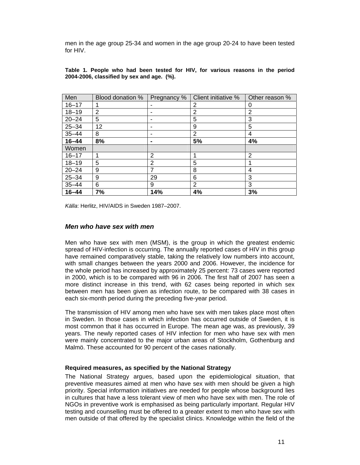men in the age group 25-34 and women in the age group 20-24 to have been tested for HIV.

| Men       | Blood donation % | Pregnancy %    | Client initiative % | Other reason % |
|-----------|------------------|----------------|---------------------|----------------|
| $16 - 17$ |                  | ۰              | 2                   | 0              |
| $18 - 19$ | 2                | ۰              | 2                   | 2              |
| $20 - 24$ | 5                | ۰              | 5                   | 3              |
| $25 - 34$ | 12               | ۰              | 9                   | 5              |
| $35 - 44$ | 8                | ٠              | 2                   | 4              |
| $16 - 44$ | 8%               | ۰              | 5%                  | 4%             |
| Women     |                  |                |                     |                |
| $16 - 17$ |                  | $\overline{2}$ |                     | $\overline{2}$ |
| $18 - 19$ | 5                | 2              | 5                   |                |
| $20 - 24$ | 9                | 7              | 8                   | 4              |
| $25 - 34$ | 9                | 29             | 6                   | 3              |
| $35 - 44$ | 6                | 9              | 2                   | 3              |
| $16 - 44$ | 7%               | 14%            | 4%                  | 3%             |

**Table 1. People who had been tested for HIV, for various reasons in the period 2004-2006, classified by sex and age. (%).** 

*Källa*: Herlitz, HIV/AIDS in Sweden 1987–2007.

#### *Men who have sex with men*

Men who have sex with men (MSM), is the group in which the greatest endemic spread of HIV-infection is occurring. The annually reported cases of HIV in this group have remained comparatively stable, taking the relatively low numbers into account, with small changes between the years 2000 and 2006. However, the incidence for the whole period has increased by approximately 25 percent: 73 cases were reported in 2000, which is to be compared with 96 in 2006. The first half of 2007 has seen a more distinct increase in this trend, with 62 cases being reported in which sex between men has been given as infection route, to be compared with 38 cases in each six-month period during the preceding five-year period.

The transmission of HIV among men who have sex with men takes place most often in Sweden. In those cases in which infection has occurred outside of Sweden, it is most common that it has occurred in Europe. The mean age was, as previously, 39 years. The newly reported cases of HIV infection for men who have sex with men were mainly concentrated to the major urban areas of Stockholm, Gothenburg and Malmö. These accounted for 90 percent of the cases nationally.

#### **Required measures, as specified by the National Strategy**

The National Strategy argues, based upon the epidemiological situation, that preventive measures aimed at men who have sex with men should be given a high priority. Special information initiatives are needed for people whose background lies in cultures that have a less tolerant view of men who have sex with men. The role of NGOs in preventive work is emphasised as being particularly important. Regular HIV testing and counselling must be offered to a greater extent to men who have sex with men outside of that offered by the specialist clinics. Knowledge within the field of the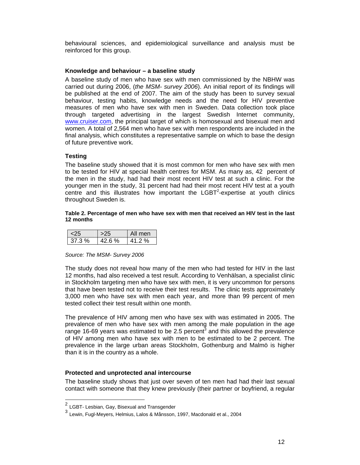behavioural sciences, and epidemiological surveillance and analysis must be reinforced for this group.

#### **Knowledge and behaviour – a baseline study**

A baseline study of men who have sex with men commissioned by the NBHW was carried out during 2006, (*the MSM- survey 2006*). An initial report of its findings will be published at the end of 2007. The aim of the study has been to survey sexual behaviour, testing habits, knowledge needs and the need for HIV preventive measures of men who have sex with men in Sweden. Data collection took place through targeted advertising in the largest Swedish Internet community, www.cruiser.com, the principal target of which is homosexual and bisexual men and women. A total of 2,564 men who have sex with men respondents are included in the final analysis, which constitutes a representative sample on which to base the design of future preventive work.

#### **Testing**

The baseline study showed that it is most common for men who have sex with men to be tested for HIV at special health centres for MSM. As many as, 42 percent of the men in the study, had had their most recent HIV test at such a clinic. For the younger men in the study, 31 percent had had their most recent HIV test at a youth centre and this illustrates how important the  $LEBT<sup>2</sup>$ -expertise at youth clinics throughout Sweden is.

#### **Table 2. Percentage of men who have sex with men that received an HIV test in the last 12 months**

|               |            | nen |
|---------------|------------|-----|
| $\cdot$ / 3 % | $\%$<br>R. | о   |

#### *Source: The MSM- Survey 2006*

The study does not reveal how many of the men who had tested for HIV in the last 12 months, had also received a test result. According to Venhälsan, a specialist clinic in Stockholm targeting men who have sex with men, it is very uncommon for persons that have been tested not to receive their test results. The clinic tests approximately 3,000 men who have sex with men each year, and more than 99 percent of men tested collect their test result within one month.

The prevalence of HIV among men who have sex with was estimated in 2005. The prevalence of men who have sex with men among the male population in the age range 16-69 years was estimated to be 2.5 percent<sup>3</sup> and this allowed the prevalence of HIV among men who have sex with men to be estimated to be 2 percent. The prevalence in the large urban areas Stockholm, Gothenburg and Malmö is higher than it is in the country as a whole.

#### **Protected and unprotected anal intercourse**

The baseline study shows that just over seven of ten men had had their last sexual contact with someone that they knew previously (their partner or boyfriend, a regular

 $\overline{a}$ 

 $^2$  LGBT- Lesbian, Gay, Bisexual and Transgender

<sup>3</sup> Lewin, Fugl-Meyers, Helmius, Lalos & Månsson, 1997, Macdonald et al., 2004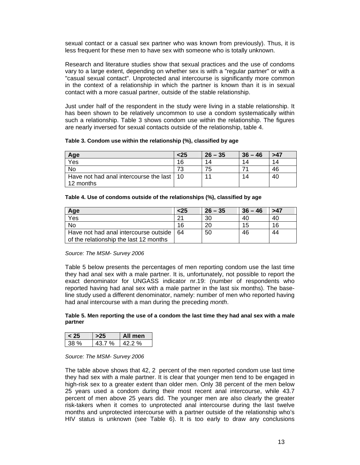sexual contact or a casual sex partner who was known from previously). Thus, it is less frequent for these men to have sex with someone who is totally unknown.

Research and literature studies show that sexual practices and the use of condoms vary to a large extent, depending on whether sex is with a "regular partner" or with a "casual sexual contact". Unprotected anal intercourse is significantly more common in the context of a relationship in which the partner is known than it is in sexual contact with a more casual partner, outside of the stable relationship.

Just under half of the respondent in the study were living in a stable relationship. It has been shown to be relatively uncommon to use a condom systematically within such a relationship. Table 3 shows condom use within the relationship. The figures are nearly inversed for sexual contacts outside of the relationship, table 4.

| Table 3. Condom use within the relationship (%), classified by age |  |  |
|--------------------------------------------------------------------|--|--|
|--------------------------------------------------------------------|--|--|

| Age                                                      | $25$ | $26 - 35$ | $36 - 46$ | >47 |
|----------------------------------------------------------|------|-----------|-----------|-----|
| Yes                                                      | 16   | 14        | 14        | 14  |
| <b>No</b>                                                | 73   | 75        |           | 46  |
| Have not had anal intercourse the last   10<br>12 months |      |           | 14        | 40  |

| Table 4. Use of condoms outside of the relationships (%), classified by age |  |  |  |  |  |  |  |
|-----------------------------------------------------------------------------|--|--|--|--|--|--|--|
|-----------------------------------------------------------------------------|--|--|--|--|--|--|--|

| Age                                        | $25$ | $26 - 35$ | $36 - 46$ | >47 |
|--------------------------------------------|------|-----------|-----------|-----|
| Yes                                        |      | 30        | 40        | 40  |
| No                                         | 16   | 20        | 15        | 16  |
| Have not had anal intercourse outside   64 |      | 50        | 46        | 44  |
| of the relationship the last 12 months     |      |           |           |     |

#### *Source: The MSM- Survey 2006*

Table 5 below presents the percentages of men reporting condom use the last time they had anal sex with a male partner. It is, unfortunately, not possible to report the exact denominator for UNGASS indicator nr.19: (number of respondents who reported having had anal sex with a male partner in the last six months). The baseline study used a different denominator, namely: number of men who reported having had anal intercourse with a man during the preceding *month*.

#### **Table 5. Men reporting the use of a condom the last time they had anal sex with a male partner**

|      | -nen- |
|------|-------|
| $\%$ | $\%$  |

#### *Source: The MSM- Survey 2006*

The table above shows that 42, 2 percent of the men reported condom use last time they had sex with a male partner. It is clear that younger men tend to be engaged in high-risk sex to a greater extent than older men. Only 38 percent of the men below 25 years used a condom during their most recent anal intercourse, while 43.7 percent of men above 25 years did. The younger men are also clearly the greater risk-takers when it comes to unprotected anal intercourse during the last twelve months and unprotected intercourse with a partner outside of the relationship who's HIV status is unknown (see Table 6). It is too early to draw any conclusions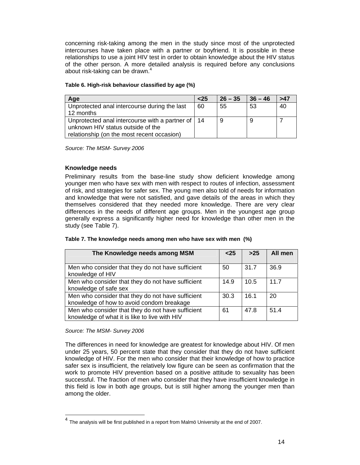concerning risk-taking among the men in the study since most of the unprotected intercourses have taken place with a partner or boyfriend. It is possible in these relationships to use a joint HIV test in order to obtain knowledge about the HIV status of the other person. A more detailed analysis is required before any conclusions about risk-taking can be drawn.<sup>4</sup>

#### **Table 6. High-risk behaviour classified by age (%)**

| Age                                                                                                                                    | $25$ | $26 - 35$ | $36 - 46$ | >47 |
|----------------------------------------------------------------------------------------------------------------------------------------|------|-----------|-----------|-----|
| Unprotected anal intercourse during the last<br>12 months                                                                              | 60   | 55        | -53       | 40  |
| Unprotected anal intercourse with a partner of   14<br>unknown HIV status outside of the<br>relationship (on the most recent occasion) |      | 9         |           |     |

*Source: The MSM- Survey 2006* 

#### **Knowledge needs**

Preliminary results from the base-line study show deficient knowledge among younger men who have sex with men with respect to routes of infection, assessment of risk, and strategies for safer sex. The young men also told of needs for information and knowledge that were not satisfied, and gave details of the areas in which they themselves considered that they needed more knowledge. There are very clear differences in the needs of different age groups. Men in the youngest age group generally express a significantly higher need for knowledge than other men in the study (see Table 7).

| The Knowledge needs among MSM                     | $25$ | $>25$ | All men |
|---------------------------------------------------|------|-------|---------|
|                                                   |      |       |         |
| Men who consider that they do not have sufficient | 50   | 31.7  | 36.9    |
| knowledge of HIV                                  |      |       |         |
| Men who consider that they do not have sufficient | 14.9 | 10.5  | 117     |
| knowledge of safe sex                             |      |       |         |
| Men who consider that they do not have sufficient | 30.3 | 16.1  | 20      |
| knowledge of how to avoid condom breakage         |      |       |         |
| Men who consider that they do not have sufficient | 61   | 47.8  | 51.4    |

| Table 7. The knowledge needs among men who have sex with men (%) |  |
|------------------------------------------------------------------|--|
|                                                                  |  |

#### *Source: The MSM- Survey 2006*

l

knowledge of what it is like to live with HIV

The differences in need for knowledge are greatest for knowledge about HIV. Of men under 25 years, 50 percent state that they consider that they do not have sufficient knowledge of HIV. For the men who consider that their knowledge of how to practice safer sex is insufficient, the relatively low figure can be seen as confirmation that the work to promote HIV prevention based on a positive attitude to sexuality has been successful. The fraction of men who consider that they have insufficient knowledge in this field is low in both age groups, but is still higher among the younger men than among the older.

 $4$  The analysis will be first published in a report from Malmö University at the end of 2007.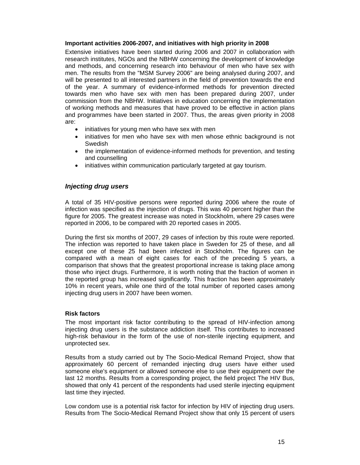#### **Important activities 2006-2007, and initiatives with high priority in 2008**

Extensive initiatives have been started during 2006 and 2007 in collaboration with research institutes, NGOs and the NBHW concerning the development of knowledge and methods, and concerning research into behaviour of men who have sex with men. The results from the "MSM Survey 2006" are being analysed during 2007, and will be presented to all interested partners in the field of prevention towards the end of the year. A summary of evidence-informed methods for prevention directed towards men who have sex with men has been prepared during 2007, under commission from the NBHW. Initiatives in education concerning the implementation of working methods and measures that have proved to be effective in action plans and programmes have been started in 2007. Thus, the areas given priority in 2008 are:

- initiatives for young men who have sex with men
- initiatives for men who have sex with men whose ethnic background is not **Swedish**
- the implementation of evidence-informed methods for prevention, and testing and counselling
- initiatives within communication particularly targeted at gay tourism.

#### *Injecting drug users*

A total of 35 HIV-positive persons were reported during 2006 where the route of infection was specified as the injection of drugs. This was 40 percent higher than the figure for 2005. The greatest increase was noted in Stockholm, where 29 cases were reported in 2006, to be compared with 20 reported cases in 2005.

During the first six months of 2007, 29 cases of infection by this route were reported. The infection was reported to have taken place in Sweden for 25 of these, and all except one of these 25 had been infected in Stockholm. The figures can be compared with a mean of eight cases for each of the preceding 5 years, a comparison that shows that the greatest proportional increase is taking place among those who inject drugs. Furthermore, it is worth noting that the fraction of women in the reported group has increased significantly. This fraction has been approximately 10% in recent years, while one third of the total number of reported cases among injecting drug users in 2007 have been women.

#### **Risk factors**

The most important risk factor contributing to the spread of HIV-infection among injecting drug users is the substance addiction itself. This contributes to increased high-risk behaviour in the form of the use of non-sterile injecting equipment, and unprotected sex.

Results from a study carried out by The Socio-Medical Remand Project, show that approximately 60 percent of remanded injecting drug users have either used someone else's equipment or allowed someone else to use their equipment over the last 12 months. Results from a corresponding project, the field project The HIV Bus, showed that only 41 percent of the respondents had used sterile injecting equipment last time they injected.

Low condom use is a potential risk factor for infection by HIV of injecting drug users. Results from The Socio-Medical Remand Project show that only 15 percent of users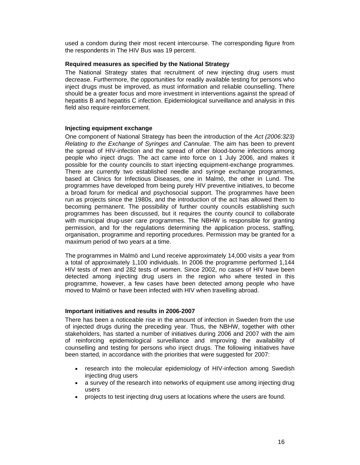used a condom during their most recent intercourse. The corresponding figure from the respondents in The HIV Bus was 19 percent.

#### **Required measures as specified by the National Strategy**

The National Strategy states that recruitment of new injecting drug users must decrease. Furthermore, the opportunities for readily available testing for persons who inject drugs must be improved, as must information and reliable counselling. There should be a greater focus and more investment in interventions against the spread of hepatitis B and hepatitis C infection. Epidemiological surveillance and analysis in this field also require reinforcement.

#### **Injecting equipment exchange**

One component of National Strategy has been the introduction of the *Act (2006:323) Relating to the Exchange of Syringes and Cannulae.* The aim has been to prevent the spread of HIV-infection and the spread of other blood-borne infections among people who inject drugs. The act came into force on 1 July 2006, and makes it possible for the county councils to start injecting equipment-exchange programmes. There are currently two established needle and syringe exchange programmes, based at Clinics for Infectious Diseases, one in Malmö, the other in Lund. The programmes have developed from being purely HIV preventive initiatives, to become a broad forum for medical and psychosocial support. The programmes have been run as projects since the 1980s, and the introduction of the act has allowed them to becoming permanent. The possibility of further county councils establishing such programmes has been discussed, but it requires the county council to collaborate with municipal drug-user care programmes. The NBHW is responsible for granting permission, and for the regulations determining the application process, staffing, organisation, programme and reporting procedures. Permission may be granted for a maximum period of two years at a time.

The programmes in Malmö and Lund receive approximately 14,000 visits a year from a total of approximately 1,100 individuals. In 2006 the programme performed 1,144 HIV tests of men and 282 tests of women. Since 2002, no cases of HIV have been detected among injecting drug users in the region who where tested in this programme, however, a few cases have been detected among people who have moved to Malmö or have been infected with HIV when travelling abroad.

#### **Important initiatives and results in 2006-2007**

There has been a noticeable rise in the amount of infection in Sweden from the use of injected drugs during the preceding year. Thus, the NBHW, together with other stakeholders, has started a number of initiatives during 2006 and 2007 with the aim of reinforcing epidemiological surveillance and improving the availability of counselling and testing for persons who inject drugs. The following initiatives have been started, in accordance with the priorities that were suggested for 2007:

- research into the molecular epidemiology of HIV-infection among Swedish injecting drug users
- a survey of the research into networks of equipment use among injecting drug users
- projects to test injecting drug users at locations where the users are found.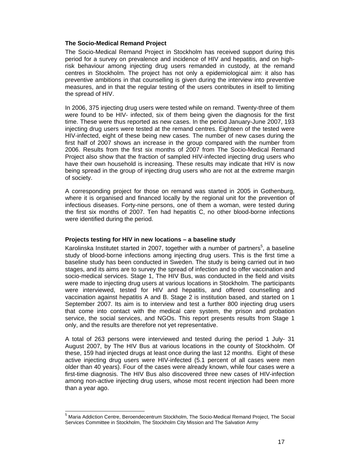#### **The Socio-Medical Remand Project**

The Socio-Medical Remand Project in Stockholm has received support during this period for a survey on prevalence and incidence of HIV and hepatitis, and on highrisk behaviour among injecting drug users remanded in custody, at the remand centres in Stockholm. The project has not only a epidemiological aim: it also has preventive ambitions in that counselling is given during the interview into preventive measures, and in that the regular testing of the users contributes in itself to limiting the spread of HIV.

In 2006, 375 injecting drug users were tested while on remand. Twenty-three of them were found to be HIV- infected, six of them being given the diagnosis for the first time. These were thus reported as new cases. In the period January-June 2007, 193 injecting drug users were tested at the remand centres. Eighteen of the tested were HIV-infected, eight of these being new cases. The number of new cases during the first half of 2007 shows an increase in the group compared with the number from 2006. Results from the first six months of 2007 from The Socio-Medical Remand Project also show that the fraction of sampled HIV-infected injecting drug users who have their own household is increasing. These results may indicate that HIV is now being spread in the group of injecting drug users who are not at the extreme margin of society.

A corresponding project for those on remand was started in 2005 in Gothenburg, where it is organised and financed locally by the regional unit for the prevention of infectious diseases. Forty-nine persons, one of them a woman, were tested during the first six months of 2007. Ten had hepatitis C, no other blood-borne infections were identified during the period.

#### **Projects testing for HIV in new locations – a baseline study**

Karolinska Institutet started in 2007, together with a number of partners<sup>5</sup>, a baseline study of blood-borne infections among injecting drug users. This is the first time a baseline study has been conducted in Sweden. The study is being carried out in two stages, and its aims are to survey the spread of infection and to offer vaccination and socio-medical services. Stage 1, The HIV Bus, was conducted in the field and visits were made to injecting drug users at various locations in Stockholm. The participants were interviewed, tested for HIV and hepatitis, and offered counselling and vaccination against hepatitis A and B. Stage 2 is institution based, and started on 1 September 2007. Its aim is to interview and test a further 800 injecting drug users that come into contact with the medical care system, the prison and probation service, the social services, and NGOs. This report presents results from Stage 1 only, and the results are therefore not yet representative.

A total of 263 persons were interviewed and tested during the period 1 July- 31 August 2007, by The HIV Bus at various locations in the county of Stockholm. Of these, 159 had injected drugs at least once during the last 12 months. Eight of these active injecting drug users were HIV-infected (5.1 percent of all cases were men older than 40 years). Four of the cases were already known, while four cases were a first-time diagnosis. The HIV Bus also discovered three new cases of HIV-infection among non-active injecting drug users, whose most recent injection had been more than a year ago.

 5 Maria Addiction Centre, Beroendecentrum Stockholm, The Socio-Medical Remand Project, The Social Services Committee in Stockholm, The Stockholm City Mission and The Salvation Army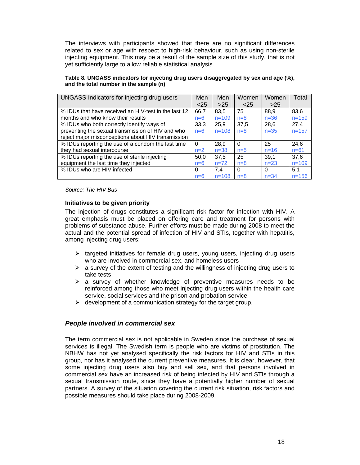The interviews with participants showed that there are no significant differences related to sex or age with respect to high-risk behaviour, such as using non-sterile injecting equipment. This may be a result of the sample size of this study, that is not yet sufficiently large to allow reliable statistical analysis.

| UNGASS Indicators for injecting drug users           | Men      | Men       | Women    | Women    | Total     |
|------------------------------------------------------|----------|-----------|----------|----------|-----------|
|                                                      | $<$ 25   | $>25$     | $<$ 25   | >25      |           |
| % IDUs that have received an HIV-test in the last 12 | 66.7     | 83.5      | 75       | 88.9     | 83.6      |
| months and who know their results                    | $n=6$    | $n = 109$ | $n=8$    | $n = 36$ | $n = 159$ |
| % IDUs who both correctly identify ways of           | 33.3     | 25.9      | 37.5     | 28,6     | 27.4      |
| preventing the sexual transmission of HIV and who    | $n=6$    | $n = 108$ | $n=8$    | $n = 35$ | $n = 157$ |
| reject major misconceptions about HIV transmission   |          |           |          |          |           |
| % IDUs reporting the use of a condom the last time   | $\Omega$ | 28.9      | $\Omega$ | 25       | 24.6      |
| they had sexual intercourse                          | $n=2$    | $n = 38$  | $n=5$    | $n = 16$ | $n = 61$  |
| % IDUs reporting the use of sterile injecting        | 50,0     | 37.5      | 25       | 39.1     | 37.6      |
| equipment the last time they injected                | $n=6$    | $n=72$    | $n=8$    | $n = 23$ | $n = 109$ |
| % IDUs who are HIV infected                          | 0        | 7.4       | $\Omega$ | $\Omega$ | 5.1       |
|                                                      | $n=6$    | $n = 108$ | $n=8$    | $n = 34$ | $n = 156$ |

**Table 8. UNGASS indicators for injecting drug users disaggregated by sex and age (%), and the total number in the sample (n)** 

*Source: The HIV Bus* 

#### **Initiatives to be given priority**

The injection of drugs constitutes a significant risk factor for infection with HIV. A great emphasis must be placed on offering care and treatment for persons with problems of substance abuse. Further efforts must be made during 2008 to meet the actual and the potential spread of infection of HIV and STIs, together with hepatitis, among injecting drug users:

- $\triangleright$  targeted initiatives for female drug users, young users, injecting drug users who are involved in commercial sex, and homeless users
- $\triangleright$  a survey of the extent of testing and the willingness of injecting drug users to take tests
- $\triangleright$  a survey of whether knowledge of preventive measures needs to be reinforced among those who meet injecting drug users within the health care service, social services and the prison and probation service
- $\triangleright$  development of a communication strategy for the target group.

#### *People involved in commercial sex*

The term commercial sex is not applicable in Sweden since the purchase of sexual services is illegal. The Swedish term is people who are victims of prostitution. The NBHW has not yet analysed specifically the risk factors for HIV and STIs in this group, nor has it analysed the current preventive measures. It is clear, however, that some injecting drug users also buy and sell sex, and that persons involved in commercial sex have an increased risk of being infected by HIV and STIs through a sexual transmission route, since they have a potentially higher number of sexual partners. A survey of the situation covering the current risk situation, risk factors and possible measures should take place during 2008-2009.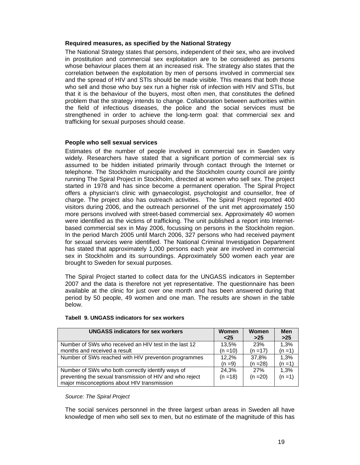#### **Required measures, as specified by the National Strategy**

The National Strategy states that persons, independent of their sex, who are involved in prostitution and commercial sex exploitation are to be considered as persons whose behaviour places them at an increased risk. The strategy also states that the correlation between the exploitation by men of persons involved in commercial sex and the spread of HIV and STIs should be made visible. This means that both those who sell and those who buy sex run a higher risk of infection with HIV and STIs, but that it is the behaviour of the buyers, most often men, that constitutes the defined problem that the strategy intends to change. Collaboration between authorities within the field of infectious diseases, the police and the social services must be strengthened in order to achieve the long-term goal: that commercial sex and trafficking for sexual purposes should cease.

#### **People who sell sexual services**

Estimates of the number of people involved in commercial sex in Sweden vary widely. Researchers have stated that a significant portion of commercial sex is assumed to be hidden initiated primarily through contact through the Internet or telephone. The Stockholm municipality and the Stockholm county council are jointly running The Spiral Project in Stockholm, directed at women who sell sex. The project started in 1978 and has since become a permanent operation. The Spiral Project offers a physician's clinic with gynaecologist, psychologist and counsellor, free of charge. The project also has outreach activities. The Spiral Project reported 400 visitors during 2006, and the outreach personnel of the unit met approximately 150 more persons involved with street-based commercial sex. Approximately 40 women were identified as the victims of trafficking. The unit published a report into Internetbased commercial sex in May 2006, focussing on persons in the Stockholm region. In the period March 2005 until March 2006, 327 persons who had received payment for sexual services were identified. The National Criminal Investigation Department has stated that approximately 1,000 persons each year are involved in commercial sex in Stockholm and its surroundings. Approximately 500 women each year are brought to Sweden for sexual purposes.

The Spiral Project started to collect data for the UNGASS indicators in September 2007 and the data is therefore not yet representative. The questionnaire has been available at the clinic for just over one month and has been answered during that period by 50 people, 49 women and one man. The results are shown in the table below.

| <b>UNGASS indicators for sex workers</b>                                                                                                                     | <b>Women</b>        | Women             | Men               |
|--------------------------------------------------------------------------------------------------------------------------------------------------------------|---------------------|-------------------|-------------------|
|                                                                                                                                                              | $25$                | $>25$             | $>25$             |
| Number of SWs who received an HIV test in the last 12                                                                                                        | 13.5%               | 23%               | 1.3%              |
| months and received a result                                                                                                                                 | (n =10)             | $(n = 17)$        | $(n = 1)$         |
| Number of SWs reached with HIV prevention programmes                                                                                                         | 12.2%               | 37.8%             | 1.3%              |
|                                                                                                                                                              | $(n=9)$             | $(n = 28)$        | $(n = 1)$         |
| Number of SWs who both correctly identify ways of<br>preventing the sexual transmission of HIV and who reject<br>major misconceptions about HIV transmission | 24.3%<br>$(n = 18)$ | 27%<br>$(n = 20)$ | 1.3%<br>$(n = 1)$ |

#### **Tabell 9. UNGASS indicators for sex workers**

#### *Source: The Spiral Project*

The social services personnel in the three largest urban areas in Sweden all have knowledge of men who sell sex to men, but no estimate of the magnitude of this has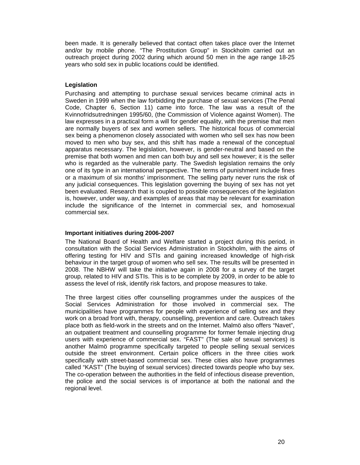been made. It is generally believed that contact often takes place over the Internet and/or by mobile phone. "The Prostitution Group" in Stockholm carried out an outreach project during 2002 during which around 50 men in the age range 18-25 years who sold sex in public locations could be identified.

#### **Legislation**

Purchasing and attempting to purchase sexual services became criminal acts in Sweden in 1999 when the law forbidding the purchase of sexual services (The Penal Code, Chapter 6, Section 11) came into force. The law was a result of the Kvinnofridsutredningen 1995/60, (the Commission of Violence against Women). The law expresses in a practical form a will for gender equality, with the premise that men are normally buyers of sex and women sellers. The historical focus of commercial sex being a phenomenon closely associated with women who sell sex has now been moved to men who buy sex, and this shift has made a renewal of the conceptual apparatus necessary. The legislation, however, is gender-neutral and based on the premise that both women and men can both buy and sell sex however; it is the seller who is regarded as the vulnerable party. The Swedish legislation remains the only one of its type in an international perspective. The terms of punishment include fines or a maximum of six months' imprisonment. The selling party never runs the risk of any judicial consequences. This legislation governing the buying of sex has not yet been evaluated. Research that is coupled to possible consequences of the legislation is, however, under way, and examples of areas that may be relevant for examination include the significance of the Internet in commercial sex, and homosexual commercial sex.

#### **Important initiatives during 2006-2007**

The National Board of Health and Welfare started a project during this period, in consultation with the Social Services Administration in Stockholm, with the aims of offering testing for HIV and STIs and gaining increased knowledge of high-risk behaviour in the target group of women who sell sex. The results will be presented in 2008. The NBHW will take the initiative again in 2008 for a survey of the target group, related to HIV and STIs. This is to be complete by 2009, in order to be able to assess the level of risk, identify risk factors, and propose measures to take.

The three largest cities offer counselling programmes under the auspices of the Social Services Administration for those involved in commercial sex. The municipalities have programmes for people with experience of selling sex and they work on a broad front with, therapy, counselling, prevention and care. Outreach takes place both as field-work in the streets and on the Internet. Malmö also offers "Navet", an outpatient treatment and counselling programme for former female injecting drug users with experience of commercial sex. "FAST" (The sale of sexual services) is another Malmö programme specifically targeted to people selling sexual services outside the street environment. Certain police officers in the three cities work specifically with street-based commercial sex. These cities also have programmes called "KAST" (The buying of sexual services) directed towards people who buy sex. The co-operation between the authorities in the field of infectious disease prevention, the police and the social services is of importance at both the national and the regional level.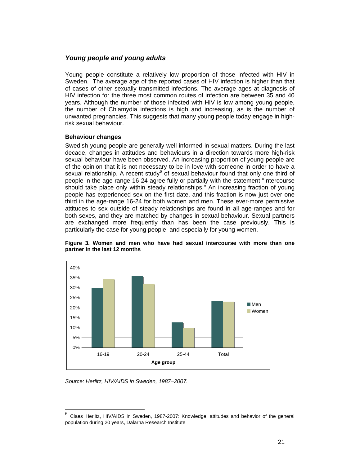#### *Young people and young adults*

Young people constitute a relatively low proportion of those infected with HIV in Sweden. The average age of the reported cases of HIV infection is higher than that of cases of other sexually transmitted infections. The average ages at diagnosis of HIV infection for the three most common routes of infection are between 35 and 40 years. Although the number of those infected with HIV is low among young people, the number of Chlamydia infections is high and increasing, as is the number of unwanted pregnancies. This suggests that many young people today engage in highrisk sexual behaviour.

#### **Behaviour changes**

Swedish young people are generally well informed in sexual matters. During the last decade, changes in attitudes and behaviours in a direction towards more high-risk sexual behaviour have been observed. An increasing proportion of young people are of the opinion that it is not necessary to be in love with someone in order to have a sexual relationship. A recent study $^6$  of sexual behaviour found that only one third of people in the age-range 16-24 agree fully or partially with the statement "Intercourse should take place only within steady relationships." An increasing fraction of young people has experienced sex on the first date, and this fraction is now just over one third in the age-range 16-24 for both women and men. These ever-more permissive attitudes to sex outside of steady relationships are found in all age-ranges and for both sexes, and they are matched by changes in sexual behaviour. Sexual partners are exchanged more frequently than has been the case previously. This is particularly the case for young people, and especially for young women.





*Source: Herlitz, HIV/AIDS in Sweden, 1987–2007.*

 $\overline{a}$ 

<sup>6</sup> Claes Herlitz, HIV/AIDS in Sweden, 1987-2007: Knowledge, attitudes and behavior of the general population during 20 years, Dalarna Research Institute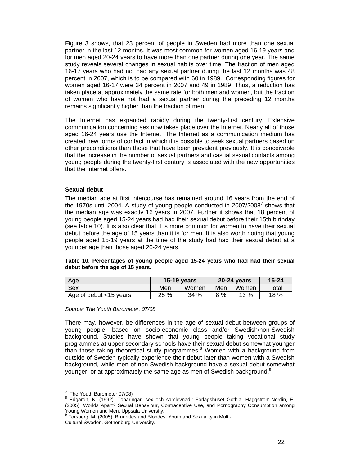Figure 3 shows, that 23 percent of people in Sweden had more than one sexual partner in the last 12 months. It was most common for women aged 16-19 years and for men aged 20-24 years to have more than one partner during one year. The same study reveals several changes in sexual habits over time. The fraction of men aged 16-17 years who had not had any sexual partner during the last 12 months was 48 percent in 2007, which is to be compared with 60 in 1989. Corresponding figures for women aged 16-17 were 34 percent in 2007 and 49 in 1989. Thus, a reduction has taken place at approximately the same rate for both men and women, but the fraction of women who have not had a sexual partner during the preceding 12 months remains significantly higher than the fraction of men.

The Internet has expanded rapidly during the twenty-first century. Extensive communication concerning sex now takes place over the Internet. Nearly all of those aged 16-24 years use the Internet. The Internet as a communication medium has created new forms of contact in which it is possible to seek sexual partners based on other preconditions than those that have been prevalent previously. It is conceivable that the increase in the number of sexual partners and casual sexual contacts among young people during the twenty-first century is associated with the new opportunities that the Internet offers.

#### **Sexual debut**

The median age at first intercourse has remained around 16 years from the end of the 1970s until 2004. A study of young people conducted in 2007/2008<sup>7</sup> shows that the median age was exactly 16 years in 2007. Further it shows that 18 percent of young people aged 15-24 years had had their sexual debut before their 15th birthday (see table 10). It is also clear that it is more common for women to have their sexual debut before the age of 15 years than it is for men. It is also worth noting that young people aged 15-19 years at the time of the study had had their sexual debut at a younger age than those aged 20-24 years.

#### **Table 10. Percentages of young people aged 15-24 years who had had their sexual debut before the age of 15 years.**

| Age                    |      | 15-19 years |     | <b>20-24 years</b> | $15 - 24$   |
|------------------------|------|-------------|-----|--------------------|-------------|
| Sex                    | Men  | Women       | Men | Women              | $\tau$ otal |
| Age of debut <15 years | 25 % | 34%         |     | 13%                | 18 %        |

#### *Source: The Youth Barometer, 07/08*

There may, however, be differences in the age of sexual debut between groups of young people, based on socio-economic class and/or Swedish/non-Swedish background. Studies have shown that young people taking vocational study programmes at upper secondary schools have their sexual debut somewhat younger than those taking theoretical study programmes. $8$  Women with a background from outside of Sweden typically experience their debut later than women with a Swedish background, while men of non-Swedish background have a sexual debut somewhat younger, or at approximately the same age as men of Swedish background.<sup>9</sup>

 7 The Youth Barometer 07/08)

<sup>8</sup> Edgardh, K. (1992). Tonåringar, sex och samlevnad.: Förlagshuset Gothia. Häggström-Nordin, E. (2005). Worlds Apart? Sexual Behaviour, Contraceptive Use, and Pornography Consumption among Young Women and Men, Uppsala University.

<sup>9</sup> Forsberg, M. (2005). Brunettes and Blondes. Youth and Sexuality in Multi-Cultural Sweden. Gothenburg University.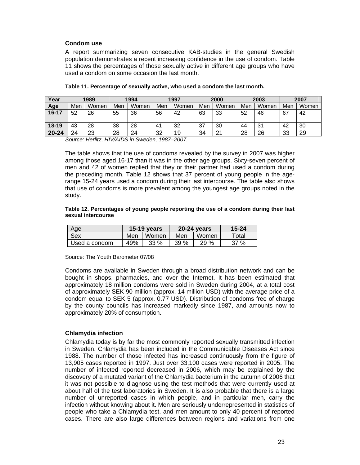#### **Condom use**

A report summarizing seven consecutive KAB-studies in the general Swedish population demonstrates a recent increasing confidence in the use of condom. Table 11 shows the percentages of those sexually active in different age groups who have used a condom on some occasion the last month.

| Year      |     | 1989  |     | 1994  |     | 1997  |     | 2000           |     | 2003  |          | 2007  |
|-----------|-----|-------|-----|-------|-----|-------|-----|----------------|-----|-------|----------|-------|
| Age       | Men | Women | Men | Women | Men | Women | Men | Women          | Men | Women | Men      | Women |
| $16 - 17$ | 52  | 26    | 55  | 36    | 56  | 42    | 63  | 33             | 52  | 46    | 67       | 42    |
| 18-19     | 43  | 28    | 38  | 28    | 41  | 32    | 37  | 30             | 44  | 31    | 42       | 30    |
| $20 - 24$ | 24  | 23    | 28  | 24    | 32  | 19    | 34  | 2 <sup>1</sup> | 28  | 26    | 33<br>ഄഄ | 29    |

#### **Table 11. Percentage of sexually active, who used a condom the last month.**

*Source: Herlitz, HIV/AIDS in Sweden, 1987–2007.* 

The table shows that the use of condoms revealed by the survey in 2007 was higher among those aged 16-17 than it was in the other age groups. Sixty-seven percent of men and 42 of women replied that they or their partner had used a condom during the preceding month. Table 12 shows that 37 percent of young people in the agerange 15-24 years used a condom during their last intercourse. The table also shows that use of condoms is more prevalent among the youngest age groups noted in the study.

#### **Table 12. Percentages of young people reporting the use of a condom during their last sexual intercourse**

| Age           |              | 15-19 years |              | 20-24 years | 15-24 |
|---------------|--------------|-------------|--------------|-------------|-------|
| Sex           | Men<br>Women |             | Women<br>Men |             | Total |
| Used a condom | 49%          | 33%         | 39%          | 29%         | 37%   |

Source: The Youth Barometer 07/08

Condoms are available in Sweden through a broad distribution network and can be bought in shops, pharmacies, and over the Internet. It has been estimated that approximately 18 million condoms were sold in Sweden during 2004, at a total cost of approximately SEK 90 million (approx. 14 million USD) with the average price of a condom equal to SEK 5 (approx. 0.77 USD). Distribution of condoms free of charge by the county councils has increased markedly since 1987, and amounts now to approximately 20% of consumption.

#### **Chlamydia infection**

Chlamydia today is by far the most commonly reported sexually transmitted infection in Sweden. Chlamydia has been included in the Communicable Diseases Act since 1988. The number of those infected has increased continuously from the figure of 13,905 cases reported in 1997. Just over 33,100 cases were reported in 2005. The number of infected reported decreased in 2006, which may be explained by the discovery of a mutated variant of the Chlamydia bacterium in the autumn of 2006 that it was not possible to diagnose using the test methods that were currently used at about half of the test laboratories in Sweden. It is also probable that there is a large number of unreported cases in which people, and in particular men, carry the infection without knowing about it. Men are seriously underrepresented in statistics of people who take a Chlamydia test, and men amount to only 40 percent of reported cases. There are also large differences between regions and variations from one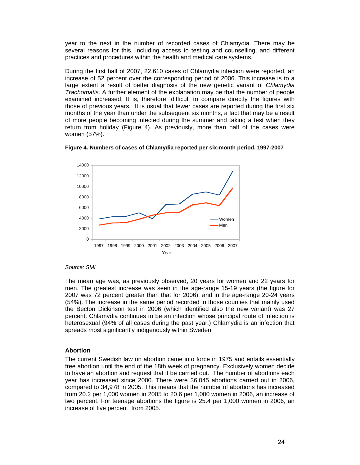year to the next in the number of recorded cases of Chlamydia. There may be several reasons for this, including access to testing and counselling, and different practices and procedures within the health and medical care systems.

During the first half of 2007, 22,610 cases of Chlamydia infection were reported, an increase of 52 percent over the corresponding period of 2006. This increase is to a large extent a result of better diagnosis of the new genetic variant of *Chlamydia Trachomatis*. A further element of the explanation may be that the number of people examined increased. It is, therefore, difficult to compare directly the figures with those of previous years. It is usual that fewer cases are reported during the first six months of the year than under the subsequent six months, a fact that may be a result of more people becoming infected during the summer and taking a test when they return from holiday (Figure 4). As previously, more than half of the cases were women (57%).





#### *Source: SMI*

The mean age was, as previously observed, 20 years for women and 22 years for men. The greatest increase was seen in the age-range 15-19 years (the figure for 2007 was 72 percent greater than that for 2006), and in the age-range 20-24 years (54%). The increase in the same period recorded in those counties that mainly used the Becton Dickinson test in 2006 (which identified also the new variant) was 27 percent. Chlamydia continues to be an infection whose principal route of infection is heterosexual (94% of all cases during the past year.) Chlamydia is an infection that spreads most significantly indigenously within Sweden.

#### **Abortion**

The current Swedish law on abortion came into force in 1975 and entails essentially free abortion until the end of the 18th week of pregnancy. Exclusively women decide to have an abortion and request that it be carried out. The number of abortions each year has increased since 2000. There were 36,045 abortions carried out in 2006, compared to 34,978 in 2005. This means that the number of abortions has increased from 20.2 per 1,000 women in 2005 to 20.6 per 1,000 women in 2006, an increase of two percent. For teenage abortions the figure is 25.4 per 1,000 women in 2006, an increase of five percent from 2005.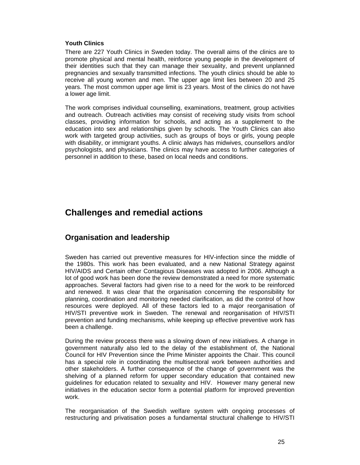#### **Youth Clinics**

There are 227 Youth Clinics in Sweden today. The overall aims of the clinics are to promote physical and mental health, reinforce young people in the development of their identities such that they can manage their sexuality, and prevent unplanned pregnancies and sexually transmitted infections. The youth clinics should be able to receive all young women and men. The upper age limit lies between 20 and 25 years. The most common upper age limit is 23 years. Most of the clinics do not have a lower age limit.

The work comprises individual counselling, examinations, treatment, group activities and outreach. Outreach activities may consist of receiving study visits from school classes, providing information for schools, and acting as a supplement to the education into sex and relationships given by schools. The Youth Clinics can also work with targeted group activities, such as groups of boys or girls, young people with disability, or immigrant youths. A clinic always has midwives, counsellors and/or psychologists, and physicians. The clinics may have access to further categories of personnel in addition to these, based on local needs and conditions.

# **Challenges and remedial actions**

## **Organisation and leadership**

Sweden has carried out preventive measures for HIV-infection since the middle of the 1980s. This work has been evaluated, and a new National Strategy against HIV/AIDS and Certain other Contagious Diseases was adopted in 2006. Although a lot of good work has been done the review demonstrated a need for more systematic approaches. Several factors had given rise to a need for the work to be reinforced and renewed. It was clear that the organisation concerning the responsibility for planning, coordination and monitoring needed clarification, as did the control of how resources were deployed. All of these factors led to a major reorganisation of HIV/STI preventive work in Sweden. The renewal and reorganisation of HIV/STI prevention and funding mechanisms, while keeping up effective preventive work has been a challenge.

During the review process there was a slowing down of new initiatives. A change in government naturally also led to the delay of the establishment of, the National Council for HIV Prevention since the Prime Minister appoints the Chair. This council has a special role in coordinating the multisectoral work between authorities and other stakeholders. A further consequence of the change of government was the shelving of a planned reform for upper secondary education that contained new guidelines for education related to sexuality and HIV. However many general new initiatives in the education sector form a potential platform for improved prevention work.

The reorganisation of the Swedish welfare system with ongoing processes of restructuring and privatisation poses a fundamental structural challenge to HIV/STI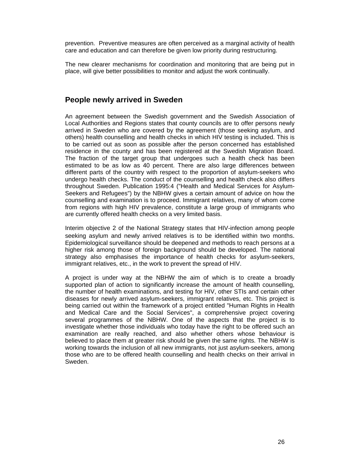prevention. Preventive measures are often perceived as a marginal activity of health care and education and can therefore be given low priority during restructuring.

The new clearer mechanisms for coordination and monitoring that are being put in place, will give better possibilities to monitor and adjust the work continually.

### **People newly arrived in Sweden**

An agreement between the Swedish government and the Swedish Association of Local Authorities and Regions states that county councils are to offer persons newly arrived in Sweden who are covered by the agreement (those seeking asylum, and others) health counselling and health checks in which HIV testing is included. This is to be carried out as soon as possible after the person concerned has established residence in the county and has been registered at the Swedish Migration Board. The fraction of the target group that undergoes such a health check has been estimated to be as low as 40 percent. There are also large differences between different parts of the country with respect to the proportion of asylum-seekers who undergo health checks. The conduct of the counselling and health check also differs throughout Sweden. Publication 1995:4 ("Health and Medical Services for Asylum-Seekers and Refugees") by the NBHW gives a certain amount of advice on how the counselling and examination is to proceed. Immigrant relatives, many of whom come from regions with high HIV prevalence, constitute a large group of immigrants who are currently offered health checks on a very limited basis.

Interim objective 2 of the National Strategy states that HIV-infection among people seeking asylum and newly arrived relatives is to be identified within two months. Epidemiological surveillance should be deepened and methods to reach persons at a higher risk among those of foreign background should be developed. The national strategy also emphasises the importance of health checks for asylum-seekers, immigrant relatives, etc., in the work to prevent the spread of HIV.

A project is under way at the NBHW the aim of which is to create a broadly supported plan of action to significantly increase the amount of health counselling, the number of health examinations, and testing for HIV, other STIs and certain other diseases for newly arrived asylum-seekers, immigrant relatives, etc. This project is being carried out within the framework of a project entitled "Human Rights in Health and Medical Care and the Social Services", a comprehensive project covering several programmes of the NBHW. One of the aspects that the project is to investigate whether those individuals who today have the right to be offered such an examination are really reached, and also whether others whose behaviour is believed to place them at greater risk should be given the same rights. The NBHW is working towards the inclusion of all new immigrants, not just asylum-seekers, among those who are to be offered health counselling and health checks on their arrival in Sweden.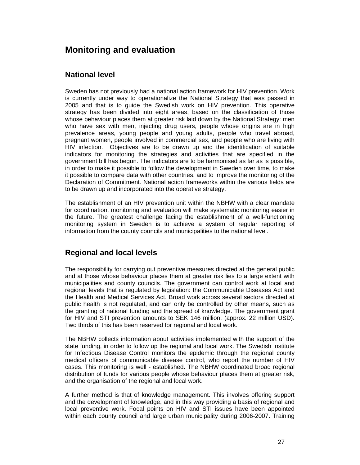# **Monitoring and evaluation**

## **National level**

Sweden has not previously had a national action framework for HIV prevention. Work is currently under way to operationalize the National Strategy that was passed in 2005 and that is to guide the Swedish work on HIV prevention. This operative strategy has been divided into eight areas, based on the classification of those whose behaviour places them at greater risk laid down by the National Strategy: men who have sex with men, injecting drug users, people whose origins are in high prevalence areas, young people and young adults, people who travel abroad, pregnant women, people involved in commercial sex, and people who are living with HIV infection. Objectives are to be drawn up and the identification of suitable indicators for monitoring the strategies and activities that are specified in the government bill has begun. The indicators are to be harmonised as far as is possible, in order to make it possible to follow the development in Sweden over time, to make it possible to compare data with other countries, and to improve the monitoring of the Declaration of Commitment. National action frameworks within the various fields are to be drawn up and incorporated into the operative strategy.

The establishment of an HIV prevention unit within the NBHW with a clear mandate for coordination, monitoring and evaluation will make systematic monitoring easier in the future. The greatest challenge facing the establishment of a well-functioning monitoring system in Sweden is to achieve a system of regular reporting of information from the county councils and municipalities to the national level.

## **Regional and local levels**

The responsibility for carrying out preventive measures directed at the general public and at those whose behaviour places them at greater risk lies to a large extent with municipalities and county councils. The government can control work at local and regional levels that is regulated by legislation: the Communicable Diseases Act and the Health and Medical Services Act. Broad work across several sectors directed at public health is not regulated, and can only be controlled by other means, such as the granting of national funding and the spread of knowledge. The government grant for HIV and STI prevention amounts to SEK 146 million, (approx. 22 million USD). Two thirds of this has been reserved for regional and local work.

The NBHW collects information about activities implemented with the support of the state funding, in order to follow up the regional and local work. The Swedish Institute for Infectious Disease Control monitors the epidemic through the regional county medical officers of communicable disease control, who report the number of HIV cases. This monitoring is well - established. The NBHW coordinated broad regional distribution of funds for various people whose behaviour places them at greater risk, and the organisation of the regional and local work.

A further method is that of knowledge management. This involves offering support and the development of knowledge, and in this way providing a basis of regional and local preventive work. Focal points on HIV and STI issues have been appointed within each county council and large urban municipality during 2006-2007. Training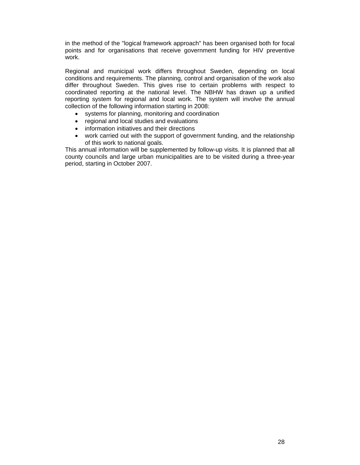in the method of the "logical framework approach" has been organised both for focal points and for organisations that receive government funding for HIV preventive work.

Regional and municipal work differs throughout Sweden, depending on local conditions and requirements. The planning, control and organisation of the work also differ throughout Sweden. This gives rise to certain problems with respect to coordinated reporting at the national level. The NBHW has drawn up a unified reporting system for regional and local work. The system will involve the annual collection of the following information starting in 2008:

- systems for planning, monitoring and coordination
- regional and local studies and evaluations
- information initiatives and their directions
- work carried out with the support of government funding, and the relationship of this work to national goals.

This annual information will be supplemented by follow-up visits. It is planned that all county councils and large urban municipalities are to be visited during a three-year period, starting in October 2007.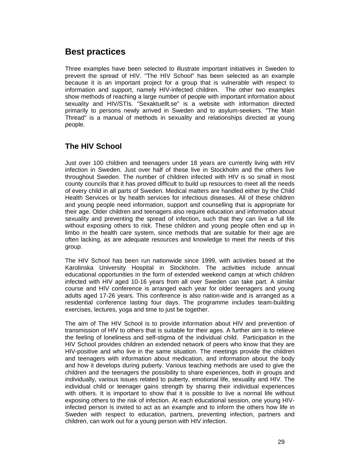# **Best practices**

Three examples have been selected to illustrate important initiatives in Sweden to prevent the spread of HIV. "The HIV School" has been selected as an example because it is an important project for a group that is vulnerable with respect to information and support, namely HIV-infected children. The other two examples show methods of reaching a large number of people with important information about sexuality and HIV/STIs. "Sexaktuellt.se" is a website with information directed primarily to persons newly arrived in Sweden and to asylum-seekers. "The Main Thread" is a manual of methods in sexuality and relationships directed at young people.

# **The HIV School**

Just over 100 children and teenagers under 18 years are currently living with HIV infection in Sweden. Just over half of these live in Stockholm and the others live throughout Sweden. The number of children infected with HIV is so small in most county councils that it has proved difficult to build up resources to meet all the needs of every child in all parts of Sweden. Medical matters are handled either by the Child Health Services or by health services for infectious diseases. All of these children and young people need information, support and counselling that is appropriate for their age. Older children and teenagers also require education and information about sexuality and preventing the spread of infection, such that they can live a full life without exposing others to risk. These children and young people often end up in limbo in the health care system, since methods that are suitable for their age are often lacking, as are adequate resources and knowledge to meet the needs of this group.

The HIV School has been run nationwide since 1999, with activities based at the Karolinska University Hospital in Stockholm. The activities include annual educational opportunities in the form of extended weekend camps at which children infected with HIV aged 10-16 years from all over Sweden can take part. A similar course and HIV conference is arranged each year for older teenagers and young adults aged 17-26 years. This conference is also nation-wide and is arranged as a residential conference lasting four days. The programme includes team-building exercises, lectures, yoga and time to just be together.

The aim of The HIV School is to provide information about HIV and prevention of transmission of HIV to others that is suitable for their ages. A further aim is to relieve the feeling of loneliness and self-stigma of the individual child. Participation in the HIV School provides children an extended network of peers who know that they are HIV-positive and who live in the same situation. The meetings provide the children and teenagers with information about medication, and information about the body and how it develops during puberty. Various teaching methods are used to give the children and the teenagers the possibility to share experiences, both in groups and individually, various issues related to puberty, emotional life, sexuality and HIV. The individual child or teenager gains strength by sharing their individual experiences with others. It is important to show that it is possible to live a normal life without exposing others to the risk of infection. At each educational session, one young HIVinfected person is invited to act as an example and to inform the others how life in Sweden with respect to education, partners, preventing infection, partners and children, can work out for a young person with HIV infection.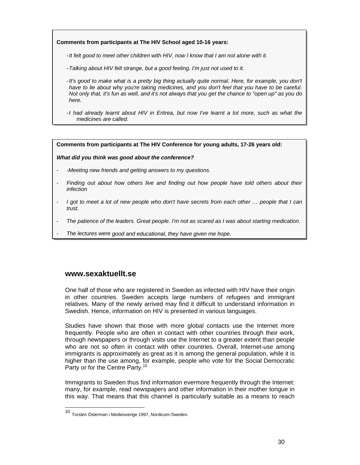#### **Comments from participants at The HIV School aged 10-16 years:**

- *It felt good to meet other children with HIV, now I know that I am not alone with it.* 

- *Talking about HIV felt strange, but a good feeling. I'm just not used to it.*
- *It's good to make what is a pretty big thing actually quite normal. Here, for example, you don't have to lie about why you're taking medicines, and you don't feel that you have to be careful. Not only that, it's fun as well, and it's not always that you get the chance to "open up" as you do here.*
- *I had already learnt about HIV in Eritrea, but now I've learnt a lot more, such as what the medicines are called.*

**Comments from participants at The HIV Conference for young adults, 17-26 years old:** 

#### *What did you think was good about the conference?*

- *-Meeting new friends and getting answers to my questions.*
- *Finding out about how others live and finding out how people have told others about their infection*
- *I got to meet a lot of new people who don't have secrets from each other … people that I can trust.*
- *The patience of the leaders. Great people. I'm not as scared as I was about starting medication.*
- *The lectures were good and educational, they have given me hope.*

#### **www.sexaktuellt.se**

l

One half of those who are registered in Sweden as infected with HIV have their origin in other countries. Sweden accepts large numbers of refugees and immigrant relatives. Many of the newly arrived may find it difficult to understand information in Swedish. Hence, information on HIV is presented in various languages.

Studies have shown that those with more global contacts use the Internet more frequently. People who are often in contact with other countries through their work, through newspapers or through visits use the Internet to a greater extent than people who are not so often in contact with other countries. Overall, Internet-use among immigrants is approximately as great as it is among the general population, while it is higher than the use among, for example, people who vote for the Social Democratic Party or for the Centre Party.<sup>10</sup>

Immigrants to Sweden thus find information evermore frequently through the Internet: many, for example, read newspapers and other information in their mother tongue in this way. That means that this channel is particularly suitable as a means to reach

<sup>10</sup> Torsten Österman i Mediesverige 1997, Nordicom-Sweden.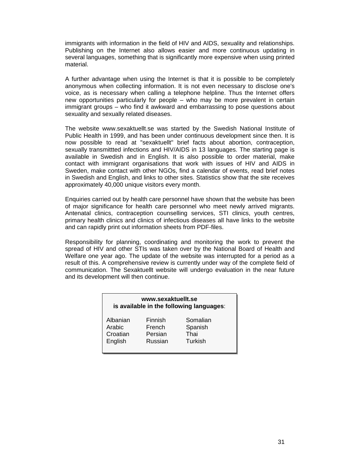immigrants with information in the field of HIV and AIDS, sexuality and relationships. Publishing on the Internet also allows easier and more continuous updating in several languages, something that is significantly more expensive when using printed material.

A further advantage when using the Internet is that it is possible to be completely anonymous when collecting information. It is not even necessary to disclose one's voice, as is necessary when calling a telephone helpline. Thus the Internet offers new opportunities particularly for people – who may be more prevalent in certain immigrant groups – who find it awkward and embarrassing to pose questions about sexuality and sexually related diseases.

The website www.sexaktuellt.se was started by the Swedish National Institute of Public Health in 1999, and has been under continuous development since then. It is now possible to read at "sexaktuellt" brief facts about abortion, contraception, sexually transmittted infections and HIV/AIDS in 13 languages. The starting page is available in Swedish and in English. It is also possible to order material, make contact with immigrant organisations that work with issues of HIV and AIDS in Sweden, make contact with other NGOs, find a calendar of events, read brief notes in Swedish and English, and links to other sites. Statistics show that the site receives approximately 40,000 unique visitors every month.

Enquiries carried out by health care personnel have shown that the website has been of major significance for health care personnel who meet newly arrived migrants. Antenatal clinics, contraception counselling services, STI clinics, youth centres, primary health clinics and clinics of infectious diseases all have links to the website and can rapidly print out information sheets from PDF-files.

Responsibility for planning, coordinating and monitoring the work to prevent the spread of HIV and other STIs was taken over by the National Board of Health and Welfare one year ago. The update of the website was interrupted for a period as a result of this. A comprehensive review is currently under way of the complete field of communication. The Sexaktuellt website will undergo evaluation in the near future and its development will then continue.

| www.sexaktuellt.se<br>is available in the following languages: |         |          |  |  |  |
|----------------------------------------------------------------|---------|----------|--|--|--|
| Albanian                                                       | Finnish | Somalian |  |  |  |
| Arabic                                                         | French  | Spanish  |  |  |  |
| Croatian                                                       | Persian | Thai     |  |  |  |
| English                                                        | Russian | Turkish  |  |  |  |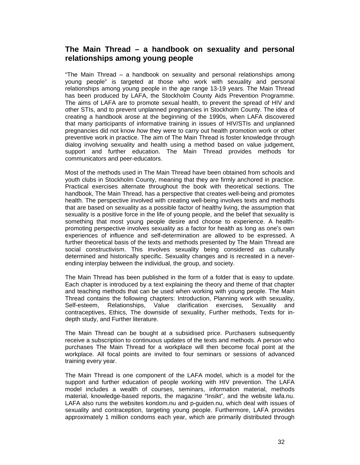## **The Main Thread – a handbook on sexuality and personal relationships among young people**

"The Main Thread – a handbook on sexuality and personal relationships among young people" is targeted at those who work with sexuality and personal relationships among young people in the age range 13-19 years. The Main Thread has been produced by LAFA, the Stockholm County Aids Prevention Programme. The aims of LAFA are to promote sexual health, to prevent the spread of HIV and other STIs, and to prevent unplanned pregnancies in Stockholm County. The idea of creating a handbook arose at the beginning of the 1990s, when LAFA discovered that many participants of informative training in issues of HIV/STIs and unplanned pregnancies did not know *how* they were to carry out health promotion work or other preventive work in practice. The aim of The Main Thread is foster knowledge through dialog involving sexuality and health using a method based on value judgement, support and further education. The Main Thread provides methods for communicators and peer-educators.

Most of the methods used in The Main Thread have been obtained from schools and youth clubs in Stockholm County, meaning that they are firmly anchored in practice. Practical exercises alternate throughout the book with theoretical sections. The handbook, The Main Thread, has a perspective that creates well-being and promotes health. The perspective involved with creating well-being involves texts and methods that are based on sexuality as a possible factor of healthy living, the assumption that sexuality is a positive force in the life of young people, and the belief that sexuality is something that most young people desire and choose to experience. A healthpromoting perspective involves sexuality as a factor for health as long as one's own experiences of influence and self-determination are allowed to be expressed. A further theoretical basis of the texts and methods presented by The Main Thread are social constructivism. This involves sexuality being considered as culturally determined and historically specific. Sexuality changes and is recreated in a neverending interplay between the individual, the group, and society.

The Main Thread has been published in the form of a folder that is easy to update. Each chapter is introduced by a text explaining the theory and theme of that chapter and teaching methods that can be used when working with young people. The Main Thread contains the following chapters: Introduction, Planning work with sexuality, Self-esteem, Relationships, Value clarification exercises, Sexuality and contraceptives, Ethics, The downside of sexuality, Further methods, Texts for indepth study, and Further literature.

The Main Thread can be bought at a subsidised price. Purchasers subsequently receive a subscription to continuous updates of the texts and methods. A person who purchases The Main Thread for a workplace will then become focal point at the workplace. All focal points are invited to four seminars or sessions of advanced training every year.

The Main Thread is one component of the LAFA model, which is a model for the support and further education of people working with HIV prevention. The LAFA model includes a wealth of courses, seminars, information material, methods material, knowledge-based reports, the magazine "Insikt", and the website lafa.nu. LAFA also runs the websites kondom.nu and p-guiden.nu, which deal with issues of sexuality and contraception, targeting young people. Furthermore, LAFA provides approximately 1 million condoms each year, which are primarily distributed through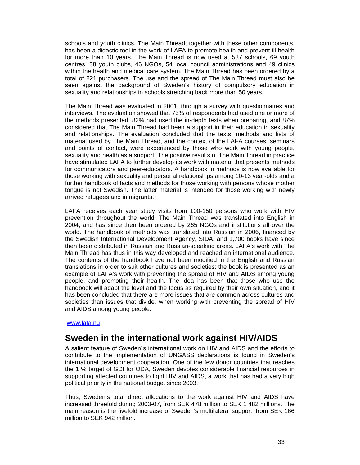schools and youth clinics. The Main Thread, together with these other components, has been a didactic tool in the work of LAFA to promote health and prevent ill-health for more than 10 years. The Main Thread is now used at 537 schools, 69 youth centres, 38 youth clubs, 46 NGOs, 54 local council administrations and 49 clinics within the health and medical care system. The Main Thread has been ordered by a total of 821 purchasers. The use and the spread of The Main Thread must also be seen against the background of Sweden's history of compulsory education in sexuality and relationships in schools stretching back more than 50 years.

The Main Thread was evaluated in 2001, through a survey with questionnaires and interviews. The evaluation showed that 75% of respondents had used one or more of the methods presented, 82% had used the in-depth texts when preparing, and 87% considered that The Main Thread had been a support in their education in sexuality and relationships. The evaluation concluded that the texts, methods and lists of material used by The Main Thread, and the context of the LAFA courses, seminars and points of contact, were experienced by those who work with young people, sexuality and health as a support. The positive results of The Main Thread in practice have stimulated LAFA to further develop its work with material that presents methods for communicators and peer-educators. A handbook in methods is now available for those working with sexuality and personal relationships among 10-13 year-olds and a further handbook of facts and methods for those working with persons whose mother tongue is not Swedish. The latter material is intended for those working with newly arrived refugees and immigrants.

LAFA receives each year study visits from 100-150 persons who work with HIV prevention throughout the world. The Main Thread was translated into English in 2004, and has since then been ordered by 265 NGOs and institutions all over the world. The handbook of methods was translated into Russian in 2006, financed by the Swedish International Development Agency, SIDA, and 1,700 books have since then been distributed in Russian and Russian-speaking areas. LAFA's work with The Main Thread has thus in this way developed and reached an international audience. The contents of the handbook have not been modified in the English and Russian translations in order to suit other cultures and societies: the book is presented as an example of LAFA's work with preventing the spread of HIV and AIDS among young people, and promoting their health. The idea has been that those who use the handbook will adapt the level and the focus as required by their own situation, and it has been concluded that there are more issues that are common across cultures and societies than issues that divide, when working with preventing the spread of HIV and AIDS among young people.

#### www.lafa.nu

# **Sweden in the international work against HIV/AIDS**

A salient feature of Sweden´s international work on HIV and AIDS and the efforts to contribute to the implementation of UNGASS declarations is found in Sweden's international development cooperation. One of the few donor countries that reaches the 1 % target of GDI for ODA, Sweden devotes considerable financial resources in supporting affected countries to fight HIV and AIDS, a work that has had a very high political priority in the national budget since 2003.

Thus, Sweden's total direct allocations to the work against HIV and AIDS have increased threefold during 2003-07, from SEK 478 million to SEK 1 482 millions. The main reason is the fivefold increase of Sweden's multilateral support, from SEK 166 million to SEK 942 million.